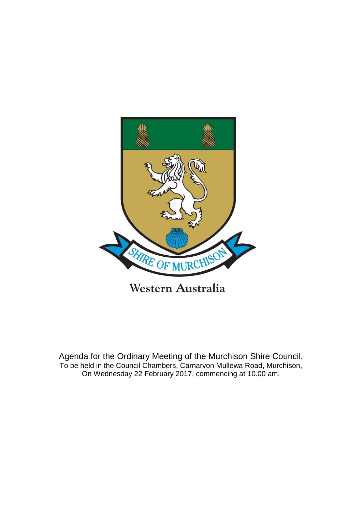

Western Australia

Agenda for the Ordinary Meeting of the Murchison Shire Council, To be held in the Council Chambers, Carnarvon Mullewa Road, Murchison, On Wednesday 22 February 2017, commencing at 10.00 am.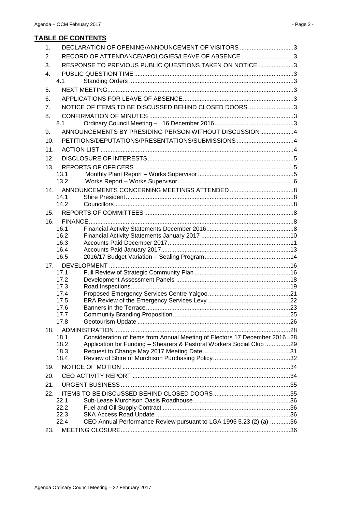| $\mathbf{1}$ . |              | DECLARATION OF OPENING/ANNOUNCEMENT OF VISITORS 3                         |  |
|----------------|--------------|---------------------------------------------------------------------------|--|
| 2.             |              | RECORD OF ATTENDANCE/APOLOGIES/LEAVE OF ABSENCE 3                         |  |
| 3.             |              | RESPONSE TO PREVIOUS PUBLIC QUESTIONS TAKEN ON NOTICE 3                   |  |
| 4.             |              |                                                                           |  |
|                | 4.1          |                                                                           |  |
| 5.             |              |                                                                           |  |
| 6.             |              |                                                                           |  |
| 7 <sub>1</sub> |              | NOTICE OF ITEMS TO BE DISCUSSED BEHIND CLOSED DOORS 3                     |  |
| 8.             |              |                                                                           |  |
|                | 8.1          |                                                                           |  |
| 9.             |              | ANNOUNCEMENTS BY PRESIDING PERSON WITHOUT DISCUSSION4                     |  |
| 10.            |              | PETITIONS/DEPUTATIONS/PRESENTATIONS/SUBMISSIONS 4                         |  |
| 11.            |              |                                                                           |  |
| 12.            |              |                                                                           |  |
| 13.            |              |                                                                           |  |
|                | 13.1         |                                                                           |  |
|                | 13.2         |                                                                           |  |
| 14.            |              |                                                                           |  |
|                | 14.1         |                                                                           |  |
|                | 14.2         |                                                                           |  |
| 15.            |              |                                                                           |  |
| 16.            |              |                                                                           |  |
|                | 16.1         |                                                                           |  |
|                | 16.2<br>16.3 |                                                                           |  |
|                | 16.4         |                                                                           |  |
|                | 16.5         |                                                                           |  |
|                |              |                                                                           |  |
|                | 17.1         |                                                                           |  |
|                | 17.2         |                                                                           |  |
|                | 17.3         |                                                                           |  |
|                | 17.4         |                                                                           |  |
|                | 17.5         |                                                                           |  |
|                | 17.6         |                                                                           |  |
|                | 17.7<br>17.8 |                                                                           |  |
| 18.            |              |                                                                           |  |
|                | 18.1         | Consideration of Items from Annual Meeting of Electors 17 December 201628 |  |
|                | 18.2         | Application for Funding - Shearers & Pastoral Workers Social Club 29      |  |
|                | 18.3         |                                                                           |  |
|                | 18.4         |                                                                           |  |
| 19.            |              |                                                                           |  |
| 20.            |              |                                                                           |  |
| 21.            |              |                                                                           |  |
| 22.            |              |                                                                           |  |
|                | 22.1         |                                                                           |  |
|                | 22.2         |                                                                           |  |
|                | 22.3         |                                                                           |  |
|                | 22.4         | CEO Annual Performance Review pursuant to LGA 1995 5.23 (2) (a) 36        |  |
| 23.            |              |                                                                           |  |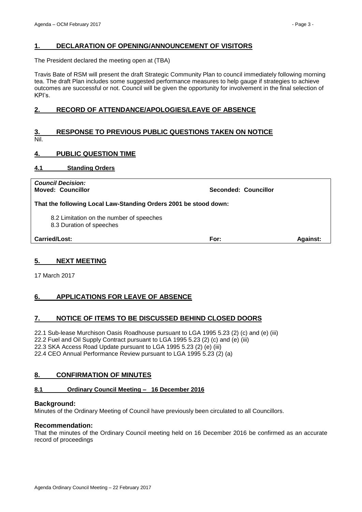# <span id="page-2-0"></span>**1. DECLARATION OF OPENING/ANNOUNCEMENT OF VISITORS**

The President declared the meeting open at (TBA)

Travis Bate of RSM will present the draft Strategic Community Plan to council immediately following morning tea. The draft Plan includes some suggested performance measures to help gauge if strategies to achieve outcomes are successful or not. Council will be given the opportunity for involvement in the final selection of KPI's.

# <span id="page-2-1"></span>**2. RECORD OF ATTENDANCE/APOLOGIES/LEAVE OF ABSENCE**

# <span id="page-2-2"></span>**3. RESPONSE TO PREVIOUS PUBLIC QUESTIONS TAKEN ON NOTICE** Nil.

# <span id="page-2-3"></span>**4. PUBLIC QUESTION TIME**

# <span id="page-2-4"></span>**4.1 Standing Orders**

| <b>Council Decision:</b><br><b>Moved: Councillor</b>                 | Seconded: Councillor |                 |
|----------------------------------------------------------------------|----------------------|-----------------|
| That the following Local Law-Standing Orders 2001 be stood down:     |                      |                 |
| 8.2 Limitation on the number of speeches<br>8.3 Duration of speeches |                      |                 |
| Carried/Lost:                                                        | For:                 | <b>Against:</b> |

# <span id="page-2-5"></span>**5. NEXT MEETING**

17 March 2017

# <span id="page-2-6"></span>**6. APPLICATIONS FOR LEAVE OF ABSENCE**

# <span id="page-2-7"></span>**7. NOTICE OF ITEMS TO BE DISCUSSED BEHIND CLOSED DOORS**

22.1 Sub-lease Murchison Oasis Roadhouse pursuant to LGA 1995 5.23 (2) (c) and (e) (iii) 22.2 Fuel and Oil Supply Contract pursuant to LGA 1995 5.23 (2) (c) and (e) (iii) 22.3 SKA Access Road Update pursuant to LGA 1995 5.23 (2) (e) (iii) 22.4 CEO Annual Performance Review pursuant to LGA 1995 5.23 (2) (a)

# <span id="page-2-8"></span>**8. CONFIRMATION OF MINUTES**

#### <span id="page-2-9"></span>**8.1 Ordinary Council Meeting – 16 December 2016**

#### **Background:**

Minutes of the Ordinary Meeting of Council have previously been circulated to all Councillors.

#### **Recommendation:**

That the minutes of the Ordinary Council meeting held on 16 December 2016 be confirmed as an accurate record of proceedings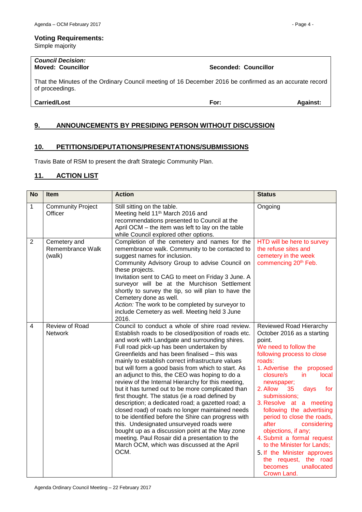Simple majority

# *Council Decision:*

That the Minutes of the Ordinary Council meeting of 16 December 2016 be confirmed as an accurate record of proceedings.

**Carried/Lost For: Against:**

# <span id="page-3-0"></span>**9. ANNOUNCEMENTS BY PRESIDING PERSON WITHOUT DISCUSSION**

# <span id="page-3-1"></span>**10. PETITIONS/DEPUTATIONS/PRESENTATIONS/SUBMISSIONS**

Travis Bate of RSM to present the draft Strategic Community Plan.

# <span id="page-3-2"></span>**11. ACTION LIST**

| <b>No</b>      | <b>Item</b>                                | <b>Action</b>                                                                                                                                                                                                                                                                                                                                                                                                                                                                                                                                                                                                                                                                                                                                                                                                                                                                                                                                             | <b>Status</b>                                                                                                                                                                                                                                                                                                                                                                                                                                                                                                                                               |
|----------------|--------------------------------------------|-----------------------------------------------------------------------------------------------------------------------------------------------------------------------------------------------------------------------------------------------------------------------------------------------------------------------------------------------------------------------------------------------------------------------------------------------------------------------------------------------------------------------------------------------------------------------------------------------------------------------------------------------------------------------------------------------------------------------------------------------------------------------------------------------------------------------------------------------------------------------------------------------------------------------------------------------------------|-------------------------------------------------------------------------------------------------------------------------------------------------------------------------------------------------------------------------------------------------------------------------------------------------------------------------------------------------------------------------------------------------------------------------------------------------------------------------------------------------------------------------------------------------------------|
| $\mathbf{1}$   | <b>Community Project</b><br>Officer        | Still sitting on the table.<br>Meeting held 11 <sup>th</sup> March 2016 and<br>recommendations presented to Council at the<br>April OCM - the item was left to lay on the table<br>while Council explored other options.                                                                                                                                                                                                                                                                                                                                                                                                                                                                                                                                                                                                                                                                                                                                  | Ongoing                                                                                                                                                                                                                                                                                                                                                                                                                                                                                                                                                     |
| $\overline{2}$ | Cemetery and<br>Remembrance Walk<br>(walk) | Completion of the cemetery and names for the<br>remembrance walk. Community to be contacted to<br>suggest names for inclusion.<br>Community Advisory Group to advise Council on<br>these projects.<br>Invitation sent to CAG to meet on Friday 3 June. A<br>surveyor will be at the Murchison Settlement<br>shortly to survey the tip, so will plan to have the<br>Cemetery done as well.<br>Action: The work to be completed by surveyor to<br>include Cemetery as well. Meeting held 3 June<br>2016.                                                                                                                                                                                                                                                                                                                                                                                                                                                    | HTD will be here to survey<br>the refuse sites and<br>cemetery in the week<br>commencing 20 <sup>th</sup> Feb.                                                                                                                                                                                                                                                                                                                                                                                                                                              |
| 4              | Review of Road<br>Network                  | Council to conduct a whole of shire road review.<br>Establish roads to be closed/position of roads etc.<br>and work with Landgate and surrounding shires.<br>Full road pick-up has been undertaken by<br>Greenfields and has been finalised - this was<br>mainly to establish correct infrastructure values<br>but will form a good basis from which to start. As<br>an adjunct to this, the CEO was hoping to do a<br>review of the Internal Hierarchy for this meeting,<br>but it has turned out to be more complicated than<br>first thought. The status (ie a road defined by<br>description; a dedicated road; a gazetted road; a<br>closed road) of roads no longer maintained needs<br>to be identified before the Shire can progress with<br>this. Undesignated unsurveyed roads were<br>bought up as a discussion point at the May zone<br>meeting. Paul Rosair did a presentation to the<br>March OCM, which was discussed at the April<br>OCM. | Reviewed Road Hierarchy<br>October 2016 as a starting<br>point.<br>We need to follow the<br>following process to close<br>roads:<br>1. Advertise the proposed<br>closure/s<br>in.<br>local<br>newspaper;<br>2. Allow<br>35<br>days<br>for<br>submissions;<br>3. Resolve at a meeting<br>following the advertising<br>period to close the roads,<br>after<br>considering<br>objections, if any;<br>4. Submit a formal request<br>to the Minister for Lands;<br>5. If the Minister approves<br>the request, the road<br>becomes<br>unallocated<br>Crown Land. |

**Moved: Councillor Seconded: Councillor**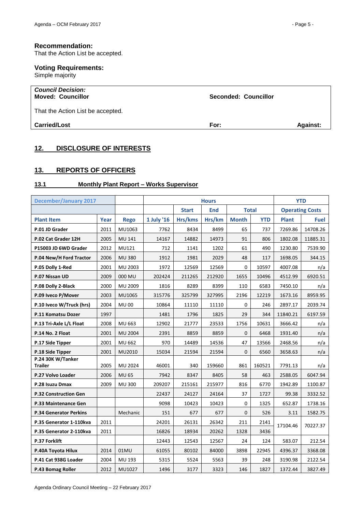#### **Recommendation:**

That the Action List be accepted.

# **Voting Requirements:**

Simple majority

| <b>Council Decision:</b><br><b>Moved: Councillor</b> | Seconded: Councillor |                 |
|------------------------------------------------------|----------------------|-----------------|
| That the Action List be accepted.                    |                      |                 |
| <b>Carried/Lost</b>                                  | For:                 | <b>Against:</b> |
|                                                      |                      |                 |

# <span id="page-4-0"></span>**12. DISCLOSURE OF INTERESTS**

# <span id="page-4-1"></span>**13. REPORTS OF OFFICERS**

# <span id="page-4-2"></span>**13.1 Monthly Plant Report – Works Supervisor**

| <b>December/January 2017</b>        |      |               | <b>Hours</b> |                                            |        |                        |            | <b>YTD</b>   |          |
|-------------------------------------|------|---------------|--------------|--------------------------------------------|--------|------------------------|------------|--------------|----------|
|                                     |      |               |              | <b>Start</b><br><b>End</b><br><b>Total</b> |        | <b>Operating Costs</b> |            |              |          |
| <b>Plant Item</b>                   | Year | <b>Rego</b>   | 1 July '16   | Hrs/kms                                    | Hrs/km | <b>Month</b>           | <b>YTD</b> | <b>Plant</b> | Fuel     |
| P.01 JD Grader                      | 2011 | MU1063        | 7762         | 8434                                       | 8499   | 65                     | 737        | 7269.86      | 14708.26 |
| P.02 Cat Grader 12H                 | 2005 | MU 141        | 14167        | 14882                                      | 14973  | 91                     | 806        | 1802.08      | 11885.31 |
| P15003 JD 6WD Grader                | 2012 | MU121         | 712          | 1141                                       | 1202   | 61                     | 490        | 1230.80      | 7539.90  |
| P.04 New/H Ford Tractor             | 2006 | <b>MU380</b>  | 1912         | 1981                                       | 2029   | 48                     | 117        | 1698.05      | 344.15   |
| P.05 Dolly 1-Red                    | 2001 | MU 2003       | 1972         | 12569                                      | 12569  | $\mathbf 0$            | 10597      | 4007.08      | n/a      |
| P.07 Nissan UD                      | 2009 | 000 MU        | 202424       | 211265                                     | 212920 | 1655                   | 10496      | 4512.99      | 6920.51  |
| P.08 Dolly 2-Black                  | 2000 | MU 2009       | 1816         | 8289                                       | 8399   | 110                    | 6583       | 7450.10      | n/a      |
| P.09 Iveco P/Mover                  | 2003 | MU1065        | 315776       | 325799                                     | 327995 | 2196                   | 12219      | 1673.16      | 8959.95  |
| P.10 Iveco W/Truck (hrs)            | 2004 | <b>MU00</b>   | 10864        | 11110                                      | 11110  | $\mathbf 0$            | 246        | 2897.17      | 2039.74  |
| P.11 Komatsu Dozer                  | 1997 |               | 1481         | 1796                                       | 1825   | 29                     | 344        | 11840.21     | 6197.59  |
| P.13 Tri-Axle L/L Float             | 2008 | MU 663        | 12902        | 21777                                      | 23533  | 1756                   | 10631      | 3666.42      | n/a      |
| P.14 No. 2 Float                    | 2001 | MU 2004       | 2391         | 8859                                       | 8859   | $\mathbf{0}$           | 6468       | 1931.40      | n/a      |
| P.17 Side Tipper                    | 2001 | MU 662        | 970          | 14489                                      | 14536  | 47                     | 13566      | 2468.56      | n/a      |
| P.18 Side Tipper                    | 2001 | MU2010        | 15034        | 21594                                      | 21594  | $\mathbf{0}$           | 6560       | 3658.63      | n/a      |
| P.24 30K W/Tanker<br><b>Trailer</b> | 2005 | MU 2024       | 46001        | 340                                        | 159660 | 861                    | 160521     | 7791.13      | n/a      |
| P.27 Volvo Loader                   | 2006 | <b>MU 65</b>  | 7942         | 8347                                       | 8405   | 58                     | 463        | 2588.05      | 6047.94  |
| P.28 Isuzu Dmax                     | 2009 | <b>MU 300</b> | 209207       | 215161                                     | 215977 | 816                    | 6770       | 1942.89      | 1100.87  |
| P.32 Construction Gen               |      |               | 22437        | 24127                                      | 24164  | 37                     | 1727       | 99.38        | 3332.52  |
| P.33 Maintenance Gen                |      |               | 9098         | 10423                                      | 10423  | 0                      | 1325       | 652.87       | 1738.16  |
| <b>P.34 Generator Perkins</b>       |      | Mechanic      | 151          | 677                                        | 677    | 0                      | 526        | 3.11         | 1582.75  |
| P.35 Generator 1-110kva             | 2011 |               | 24201        | 26131                                      | 26342  | 211                    | 2141       | 17104.46     | 70227.37 |
| P.35 Generator 2-110kva             | 2011 |               | 16826        | 18934                                      | 20262  | 1328                   | 3436       |              |          |
| <b>P.37 Forklift</b>                |      |               | 12443        | 12543                                      | 12567  | 24                     | 124        | 583.07       | 212.54   |
| P.40A Toyota Hilux                  | 2014 | 01MU          | 61055        | 80102                                      | 84000  | 3898                   | 22945      | 4396.37      | 3368.08  |
| P.41 Cat 938G Loader                | 2004 | MU 193        | 5315         | 5524                                       | 5563   | 39                     | 248        | 3190.98      | 2122.54  |
| P.43 Bomag Roller                   | 2012 | MU1027        | 1496         | 3177                                       | 3323   | 146                    | 1827       | 1372.44      | 3827.49  |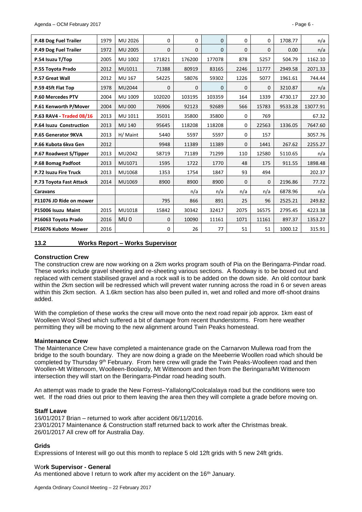| P.48 Dog Fuel Trailer    | 1979 | MU 2026         | $\Omega$     | 0        | $\Omega$     | 0            | $\Omega$     | 1708.77 | n/a      |
|--------------------------|------|-----------------|--------------|----------|--------------|--------------|--------------|---------|----------|
| P.49 Dog Fuel Trailer    | 1972 | MU 2005         | $\mathbf{0}$ | 0        | $\mathbf{0}$ | $\mathbf{0}$ | $\mathbf{0}$ | 0.00    | n/a      |
| P.54 Isuzu T/Top         | 2005 | MU 1002         | 171821       | 176200   | 177078       | 878          | 5257         | 504.79  | 1162.10  |
| P.55 Toyota Prado        | 2012 | MU1011          | 71388        | 80919    | 83165        | 2246         | 11777        | 2949.58 | 2071.33  |
| P.57 Great Wall          | 2012 | MU 167          | 54225        | 58076    | 59302        | 1226         | 5077         | 1961.61 | 744.44   |
| P.59 45ft Flat Top       | 1978 | MU2044          | $\mathbf{0}$ | $\Omega$ | $\Omega$     | $\Omega$     | $\Omega$     | 3210.87 | n/a      |
| P.60 Mercedes PTV        | 2004 | MU 1009         | 102020       | 103195   | 103359       | 164          | 1339         | 4730.17 | 227.30   |
| P.61 Kenworth P/Mover    | 2004 | <b>MU 000</b>   | 76906        | 92123    | 92689        | 566          | 15783        | 9533.28 | 13077.91 |
| P.63 RAV4 - Traded 08/16 | 2013 | MU 1011         | 35031        | 35800    | 35800        | $\Omega$     | 769          |         | 67.32    |
| P.64 Isuzu Construction  | 2013 | <b>MU 140</b>   | 95645        | 118208   | 118208       | 0            | 22563        | 1336.05 | 7647.60  |
| P.65 Generator 9KVA      | 2013 | H/ Maint        | 5440         | 5597     | 5597         | 0            | 157          |         | 3057.76  |
| P.66 Kubota 6kva Gen     | 2012 |                 | 9948         | 11389    | 11389        | 0            | 1441         | 267.62  | 2255.27  |
| P.67 Roadwest S/Tipper   | 2013 | MU2042          | 58719        | 71189    | 71299        | 110          | 12580        | 5110.65 | n/a      |
| P.68 Bomag Padfoot       | 2013 | MU1071          | 1595         | 1722     | 1770         | 48           | 175          | 911.55  | 1898.48  |
| P.72 Isuzu Fire Truck    | 2013 | MU1068          | 1353         | 1754     | 1847         | 93           | 494          |         | 202.37   |
| P.73 Toyota Fast Attack  | 2014 | MU1069          | 8900         | 8900     | 8900         | $\mathbf{0}$ | $\mathbf{0}$ | 2196.86 | 77.72    |
| Caravans                 |      |                 |              | n/a      | n/a          | n/a          | n/a          | 6878.96 | n/a      |
| P11076 JD Ride on mower  |      |                 | 795          | 866      | 891          | 25           | 96           | 2525.21 | 249.82   |
| P15006 Isuzu Maint       | 2015 | MU1018          | 15842        | 30342    | 32417        | 2075         | 16575        | 2795.45 | 4223.38  |
| P16063 Toyota Prado      | 2016 | MU <sub>0</sub> | $\mathbf{0}$ | 10090    | 11161        | 1071         | 11161        | 897.37  | 1353.27  |
| P16076 Kuboto Mower      | 2016 |                 | 0            | 26       | 77           | 51           | 51           | 1000.12 | 315.91   |

#### <span id="page-5-0"></span>**13.2 Works Report – Works Supervisor**

#### **Construction Crew**

The construction crew are now working on a 2km works program south of Pia on the Beringarra-Pindar road. These works include gravel sheeting and re-sheeting various sections. A floodway is to be boxed out and replaced with cement stabilised gravel and a rock wall is to be added on the down side. An old contour bank within the 2km section will be redressed which will prevent water running across the road in 6 or seven areas within this 2km section. A 1.6km section has also been pulled in, wet and rolled and more off-shoot drains added.

With the completion of these works the crew will move onto the next road repair job approx. 1km east of Woolleen Wool Shed which suffered a bit of damage from recent thunderstorms. From here weather permitting they will be moving to the new alignment around Twin Peaks homestead.

#### **Maintenance Crew**

The Maintenance Crew have completed a maintenance grade on the Carnarvon Mullewa road from the bridge to the south boundary. They are now doing a grade on the Meeberrie Woollen road which should be completed by Thursday 9<sup>th</sup> February. From here crew will grade the Twin Peaks-Woolleen road and then Woollen-Mt Wittenoom, Woolleen-Boolardy, Mt Wittenoom and then from the Beringarra/Mt Wittenoom intersection they will start on the Beringarra-Pindar road heading south.

An attempt was made to grade the New Forrest–Yallalong/Coolcalalaya road but the conditions were too wet. If the road dries out prior to them leaving the area then they will complete a grade before moving on.

#### **Staff Leave**

16/01/2017 Brian – returned to work after accident 06/11/2016. 23/01/2017 Maintenance & Construction staff returned back to work after the Christmas break. 26/01/2017 All crew off for Australia Day.

#### **Grids**

Expressions of Interest will go out this month to replace 5 old 12ft grids with 5 new 24ft grids.

#### Wo**rk Supervisor - General**

As mentioned above I return to work after my accident on the 16<sup>th</sup> January.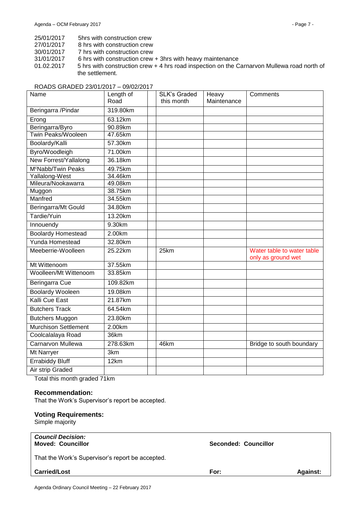- 25/01/2017 5hrs with construction crew<br>27/01/2017 8 hrs with construction crew
- 8 hrs with construction crew
- 30/01/2017 7 hrs with construction crew
- 31/01/2017 6 hrs with construction crew + 3hrs with heavy maintenance
- 01.02.2017 5 hrs with construction crew + 4 hrs road inspection on the Carnarvon Mullewa road north of the settlement.

#### ROADS GRADED 23/01/2017 – 09/02/2017

| Name                           | Length of | <b>SLK's Graded</b> | Heavy       | Comments                                         |
|--------------------------------|-----------|---------------------|-------------|--------------------------------------------------|
|                                | Road      | this month          | Maintenance |                                                  |
| Beringarra / Pindar            | 319.80km  |                     |             |                                                  |
| Erong                          | 63.12km   |                     |             |                                                  |
| Beringarra/Byro                | 90.89km   |                     |             |                                                  |
| Twin Peaks/Wooleen             | 47.65km   |                     |             |                                                  |
| Boolardy/Kalli                 | 57.30km   |                     |             |                                                  |
| Byro/Woodleigh                 | 71.00km   |                     |             |                                                  |
| New Forrest/Yallalong          | 36.18km   |                     |             |                                                  |
| M <sup>c</sup> Nabb/Twin Peaks | 49.75km   |                     |             |                                                  |
| Yallalong-West                 | 34.46km   |                     |             |                                                  |
| Mileura/Nookawarra             | 49.08km   |                     |             |                                                  |
| Muggon                         | 38.75km   |                     |             |                                                  |
| Manfred                        | 34.55km   |                     |             |                                                  |
| Beringarra/Mt Gould            | 34.80km   |                     |             |                                                  |
| Tardie/Yuin                    | 13.20km   |                     |             |                                                  |
| Innouendy                      | 9.30km    |                     |             |                                                  |
| <b>Boolardy Homestead</b>      | 2.00km    |                     |             |                                                  |
| Yunda Homestead                | 32.80km   |                     |             |                                                  |
| Meeberrie-Woolleen             | 25.22km   | 25km                |             | Water table to water table<br>only as ground wet |
| Mt Wittenoom                   | 37.55km   |                     |             |                                                  |
| Woolleen/Mt Wittenoom          | 33.85km   |                     |             |                                                  |
| <b>Beringarra Cue</b>          | 109.82km  |                     |             |                                                  |
| <b>Boolardy Wooleen</b>        | 19.08km   |                     |             |                                                  |
| Kalli Cue East                 | 21.87km   |                     |             |                                                  |
| <b>Butchers Track</b>          | 64.54km   |                     |             |                                                  |
| <b>Butchers Muggon</b>         | 23.80km   |                     |             |                                                  |
| Murchison Settlement           | 2.00km    |                     |             |                                                  |
| Coolcalalaya Road              | 36km      |                     |             |                                                  |
| <b>Carnarvon Mullewa</b>       | 278.63km  | 46km                |             | Bridge to south boundary                         |
| Mt Narryer                     | 3km       |                     |             |                                                  |
| <b>Errabiddy Bluff</b>         | 12km      |                     |             |                                                  |
| Air strip Graded               |           |                     |             |                                                  |

Total this month graded 71km

#### **Recommendation:**

That the Work's Supervisor's report be accepted.

#### **Voting Requirements:**

Simple majority

| <b>Council Decision:</b><br><b>Moved: Councillor</b> | <b>Seconded: Councillor</b> |                 |
|------------------------------------------------------|-----------------------------|-----------------|
| That the Work's Supervisor's report be accepted.     |                             |                 |
| <b>Carried/Lost</b>                                  | For:                        | <b>Against:</b> |
|                                                      |                             |                 |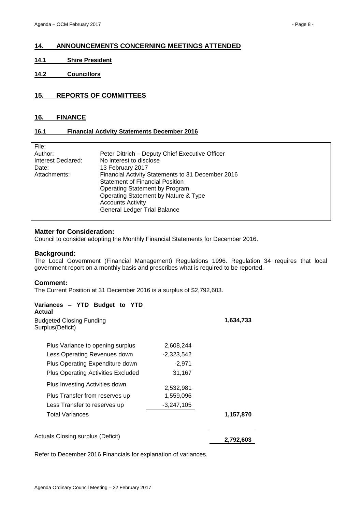# <span id="page-7-0"></span>**14. ANNOUNCEMENTS CONCERNING MEETINGS ATTENDED**

- <span id="page-7-1"></span>**14.1 Shire President**
- <span id="page-7-2"></span>**14.2 Councillors**

# <span id="page-7-3"></span>**15. REPORTS OF COMMITTEES**

#### <span id="page-7-4"></span>**16. FINANCE**

#### <span id="page-7-5"></span>**16.1 Financial Activity Statements December 2016**

| File:              |                                                   |
|--------------------|---------------------------------------------------|
| Author:            | Peter Dittrich - Deputy Chief Executive Officer   |
| Interest Declared: | No interest to disclose                           |
| Date:              | 13 February 2017                                  |
| Attachments:       | Financial Activity Statements to 31 December 2016 |
|                    | <b>Statement of Financial Position</b>            |
|                    | Operating Statement by Program                    |
|                    | Operating Statement by Nature & Type              |
|                    | <b>Accounts Activity</b>                          |
|                    | General Ledger Trial Balance                      |
|                    |                                                   |

#### **Matter for Consideration:**

Council to consider adopting the Monthly Financial Statements for December 2016.

#### **Background:**

The Local Government (Financial Management) Regulations 1996. Regulation 34 requires that local government report on a monthly basis and prescribes what is required to be reported.

#### **Comment:**

The Current Position at 31 December 2016 is a surplus of \$2,792,603.

| Variances - YTD Budget to YTD<br>Actual             |              |           |
|-----------------------------------------------------|--------------|-----------|
| <b>Budgeted Closing Funding</b><br>Surplus(Deficit) |              | 1,634,733 |
| Plus Variance to opening surplus                    | 2,608,244    |           |
| Less Operating Revenues down                        | $-2,323,542$ |           |
| Plus Operating Expenditure down                     | $-2,971$     |           |
| <b>Plus Operating Activities Excluded</b>           | 31,167       |           |
| Plus Investing Activities down                      | 2,532,981    |           |
| Plus Transfer from reserves up                      | 1,559,096    |           |
| Less Transfer to reserves up                        | $-3,247,105$ |           |
| <b>Total Variances</b>                              |              | 1,157,870 |
| Actuals Closing surplus (Deficit)                   |              | 2,792,603 |

Refer to December 2016 Financials for explanation of variances.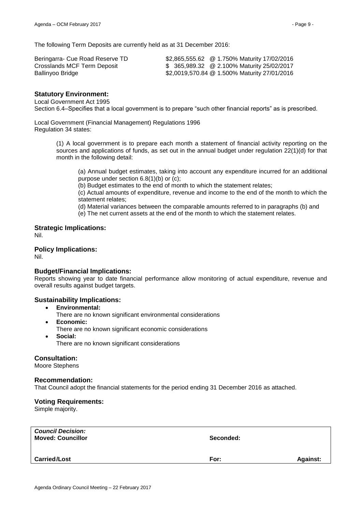The following Term Deposits are currently held as at 31 December 2016:

| Beringarra- Cue Road Reserve TD | \$2,865,555.62 @ 1.750% Maturity 17/02/2016  |
|---------------------------------|----------------------------------------------|
| Crosslands MCF Term Deposit     | \$365,989.32 @ 2.100% Maturity 25/02/2017    |
| Ballinyoo Bridge                | \$2,0019,570.84 @ 1.500% Maturity 27/01/2016 |

#### **Statutory Environment:**

#### Local Government Act 1995

Section 6.4–Specifies that a local government is to prepare "such other financial reports" as is prescribed.

Local Government (Financial Management) Regulations 1996 Regulation 34 states:

> (1) A local government is to prepare each month a statement of financial activity reporting on the sources and applications of funds, as set out in the annual budget under regulation 22(1)(d) for that month in the following detail:

(a) Annual budget estimates, taking into account any expenditure incurred for an additional purpose under section 6.8(1)(b) or (c);

(b) Budget estimates to the end of month to which the statement relates;

(c) Actual amounts of expenditure, revenue and income to the end of the month to which the statement relates;

(d) Material variances between the comparable amounts referred to in paragraphs (b) and

(e) The net current assets at the end of the month to which the statement relates.

**Strategic Implications:** Nil.

# **Policy Implications:**

Nil.

#### **Budget/Financial Implications:**

Reports showing year to date financial performance allow monitoring of actual expenditure, revenue and overall results against budget targets.

#### **Sustainability Implications:**

- **Environmental:**
	- There are no known significant environmental considerations
- **Economic:**
- There are no known significant economic considerations
- **Social:**

There are no known significant considerations

#### **Consultation:**

Moore Stephens

#### **Recommendation:**

That Council adopt the financial statements for the period ending 31 December 2016 as attached.

#### **Voting Requirements:**

Simple majority.

| <b>Council Decision:</b><br><b>Moved: Councillor</b> | Seconded: |                 |
|------------------------------------------------------|-----------|-----------------|
| <b>Carried/Lost</b>                                  | For:      | <b>Against:</b> |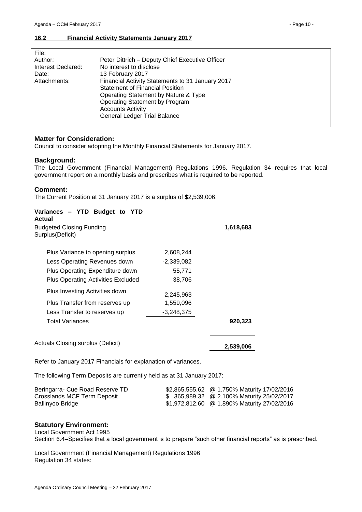# <span id="page-9-0"></span>**16.2 Financial Activity Statements January 2017**

| File:              |                                                  |
|--------------------|--------------------------------------------------|
| Author:            | Peter Dittrich - Deputy Chief Executive Officer  |
| Interest Declared: | No interest to disclose                          |
| Date:              | 13 February 2017                                 |
| Attachments:       | Financial Activity Statements to 31 January 2017 |
|                    | <b>Statement of Financial Position</b>           |
|                    | Operating Statement by Nature & Type             |
|                    | Operating Statement by Program                   |
|                    | <b>Accounts Activity</b>                         |
|                    | <b>General Ledger Trial Balance</b>              |
|                    |                                                  |

# **Matter for Consideration:**

Council to consider adopting the Monthly Financial Statements for January 2017.

#### **Background:**

The Local Government (Financial Management) Regulations 1996. Regulation 34 requires that local government report on a monthly basis and prescribes what is required to be reported.

# **Comment:**

The Current Position at 31 January 2017 is a surplus of \$2,539,006.

| Variances - YTD Budget to YTD<br>Actual              |              |           |
|------------------------------------------------------|--------------|-----------|
| <b>Budgeted Closing Funding</b><br>Surplus (Deficit) |              | 1,618,683 |
| Plus Variance to opening surplus                     | 2,608,244    |           |
| Less Operating Revenues down                         | $-2,339,082$ |           |
| Plus Operating Expenditure down                      | 55,771       |           |
| <b>Plus Operating Activities Excluded</b>            | 38,706       |           |
| Plus Investing Activities down                       | 2,245,963    |           |
| Plus Transfer from reserves up                       | 1,559,096    |           |
| Less Transfer to reserves up                         | $-3,248,375$ |           |
| <b>Total Variances</b>                               |              | 920,323   |
| Actuals Closing surplus (Deficit)                    |              | 2,539,006 |

Refer to January 2017 Financials for explanation of variances.

The following Term Deposits are currently held as at 31 January 2017:

| Beringarra- Cue Road Reserve TD | \$2,865,555.62 @ 1.750% Maturity 17/02/2016 |
|---------------------------------|---------------------------------------------|
| Crosslands MCF Term Deposit     | \$365,989.32 @ 2.100% Maturity 25/02/2017   |
| Ballinyoo Bridge                | \$1,972,812.60 @ 1.890% Maturity 27/02/2016 |

#### **Statutory Environment:**

Local Government Act 1995

Section 6.4–Specifies that a local government is to prepare "such other financial reports" as is prescribed.

Local Government (Financial Management) Regulations 1996 Regulation 34 states: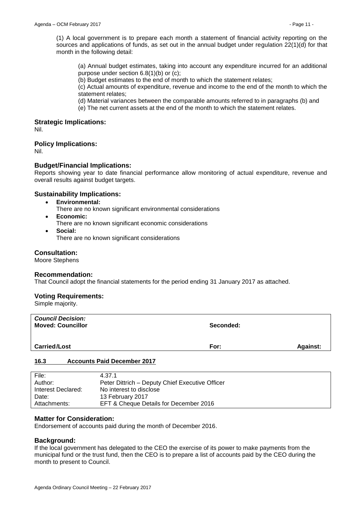(1) A local government is to prepare each month a statement of financial activity reporting on the sources and applications of funds, as set out in the annual budget under regulation 22(1)(d) for that month in the following detail:

(a) Annual budget estimates, taking into account any expenditure incurred for an additional purpose under section 6.8(1)(b) or (c);

(b) Budget estimates to the end of month to which the statement relates;

(c) Actual amounts of expenditure, revenue and income to the end of the month to which the statement relates;

(d) Material variances between the comparable amounts referred to in paragraphs (b) and

(e) The net current assets at the end of the month to which the statement relates.

#### **Strategic Implications:**

Nil.

# **Policy Implications:**

Nil.

# **Budget/Financial Implications:**

Reports showing year to date financial performance allow monitoring of actual expenditure, revenue and overall results against budget targets.

# **Sustainability Implications:**

- **Environmental:**
	- There are no known significant environmental considerations
- **Economic:**
	- There are no known significant economic considerations
- **Social:**
	- There are no known significant considerations

#### **Consultation:**

Moore Stephens

#### **Recommendation:**

That Council adopt the financial statements for the period ending 31 January 2017 as attached.

#### **Voting Requirements:**

Simple majority.

| <b>Council Decision:</b><br><b>Moved: Councillor</b> | Seconded: |                 |
|------------------------------------------------------|-----------|-----------------|
| <b>Carried/Lost</b>                                  | For:      | <b>Against:</b> |

#### <span id="page-10-0"></span>**16.3 Accounts Paid December 2017**

| File:              | 4.37.1                                          |
|--------------------|-------------------------------------------------|
| Author:            | Peter Dittrich – Deputy Chief Executive Officer |
| Interest Declared: | No interest to disclose                         |
| Date:              | 13 February 2017                                |
| Attachments:       | EFT & Cheque Details for December 2016          |

#### **Matter for Consideration:**

Endorsement of accounts paid during the month of December 2016.

#### **Background:**

If the local government has delegated to the CEO the exercise of its power to make payments from the municipal fund or the trust fund, then the CEO is to prepare a list of accounts paid by the CEO during the month to present to Council.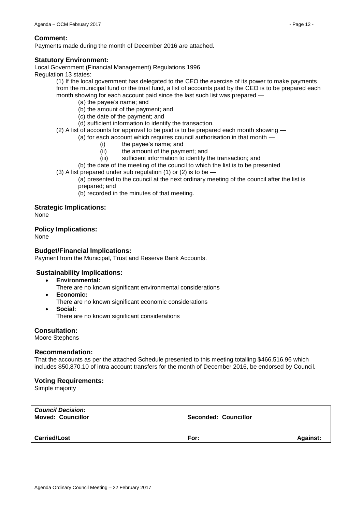#### **Comment:**

Payments made during the month of December 2016 are attached.

# **Statutory Environment:**

Local Government (Financial Management) Regulations 1996 Regulation 13 states:

(1) If the local government has delegated to the CEO the exercise of its power to make payments from the municipal fund or the trust fund, a list of accounts paid by the CEO is to be prepared each month showing for each account paid since the last such list was prepared —

- (a) the payee's name; and
- (b) the amount of the payment; and
- (c) the date of the payment; and
- (d) sufficient information to identify the transaction.

(2) A list of accounts for approval to be paid is to be prepared each month showing —

(a) for each account which requires council authorisation in that month —

- (i) the payee's name; and
- (ii) the amount of the payment; and
- (iii) sufficient information to identify the transaction; and
- (b) the date of the meeting of the council to which the list is to be presented
- (3) A list prepared under sub regulation (1) or (2) is to be  $-$

(a) presented to the council at the next ordinary meeting of the council after the list is prepared; and

(b) recorded in the minutes of that meeting.

# **Strategic Implications:**

None

#### **Policy Implications:**

None

# **Budget/Financial Implications:**

Payment from the Municipal, Trust and Reserve Bank Accounts.

#### **Sustainability Implications:**

- **Environmental:**
	- There are no known significant environmental considerations
- **Economic:**
	- There are no known significant economic considerations
- **Social:** There are no known significant considerations

### **Consultation:**

Moore Stephens

#### **Recommendation:**

That the accounts as per the attached Schedule presented to this meeting totalling \$466,516.96 which includes \$50,870.10 of intra account transfers for the month of December 2016, be endorsed by Council.

#### **Voting Requirements:**

Simple majority

| <b>Council Decision:</b><br><b>Moved: Councillor</b> | Seconded: Councillor |                 |
|------------------------------------------------------|----------------------|-----------------|
| <b>Carried/Lost</b>                                  | For:                 | <b>Against:</b> |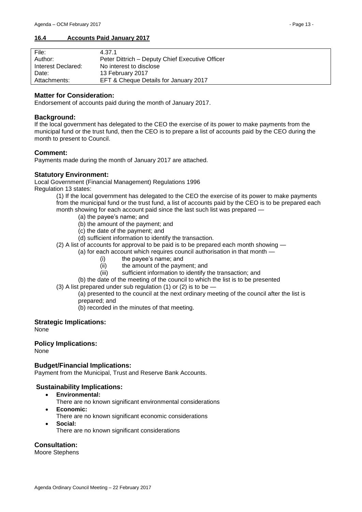#### <span id="page-12-0"></span>**16.4 Accounts Paid January 2017**

| File:              | 4.37.1                                          |
|--------------------|-------------------------------------------------|
| Author:            | Peter Dittrich - Deputy Chief Executive Officer |
| Interest Declared: | No interest to disclose                         |
| Date:              | 13 February 2017                                |
| Attachments:       | EFT & Cheque Details for January 2017           |

#### **Matter for Consideration:**

Endorsement of accounts paid during the month of January 2017.

#### **Background:**

If the local government has delegated to the CEO the exercise of its power to make payments from the municipal fund or the trust fund, then the CEO is to prepare a list of accounts paid by the CEO during the month to present to Council.

#### **Comment:**

Payments made during the month of January 2017 are attached.

#### **Statutory Environment:**

Local Government (Financial Management) Regulations 1996 Regulation 13 states:

(1) If the local government has delegated to the CEO the exercise of its power to make payments from the municipal fund or the trust fund, a list of accounts paid by the CEO is to be prepared each month showing for each account paid since the last such list was prepared —

- (a) the payee's name; and
	- (b) the amount of the payment; and
	- (c) the date of the payment; and
	- (d) sufficient information to identify the transaction.
- (2) A list of accounts for approval to be paid is to be prepared each month showing
	- (a) for each account which requires council authorisation in that month
		- (i) the payee's name; and
		- (ii) the amount of the payment; and
		- (iii) sufficient information to identify the transaction; and
		- (b) the date of the meeting of the council to which the list is to be presented
- (3) A list prepared under sub regulation (1) or (2) is to be  $-$ 
	- (a) presented to the council at the next ordinary meeting of the council after the list is prepared; and

(b) recorded in the minutes of that meeting.

#### **Strategic Implications:**

None

#### **Policy Implications:**

None

#### **Budget/Financial Implications:**

Payment from the Municipal, Trust and Reserve Bank Accounts.

#### **Sustainability Implications:**

- **Environmental:**
	- There are no known significant environmental considerations
- **Economic:**
	- There are no known significant economic considerations
- **Social:**
	- There are no known significant considerations

#### **Consultation:**

Moore Stephens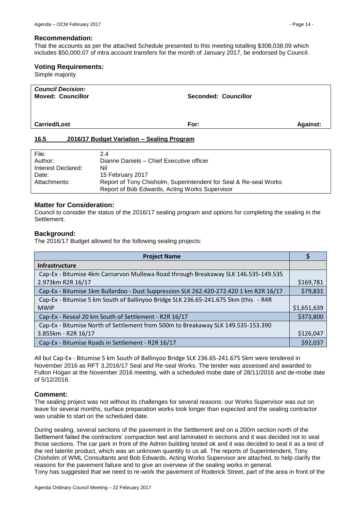#### **Recommendation:**

That the accounts as per the attached Schedule presented to this meeting totalling \$308,038.09 which includes \$50,000.07 of intra account transfers for the month of January 2017, be endorsed by Council.

#### **Voting Requirements:**

Simple majority

| <b>Council Decision:</b><br><b>Moved: Councillor</b> | <b>Seconded: Councillor</b> |                 |
|------------------------------------------------------|-----------------------------|-----------------|
| <b>Carried/Lost</b>                                  | For:                        | <b>Against:</b> |

#### <span id="page-13-0"></span>**16.5 2016/17 Budget Variation – Sealing Program**

| File:              | 2.4                                                              |
|--------------------|------------------------------------------------------------------|
| Author:            | Dianne Daniels - Chief Executive officer                         |
| Interest Declared: | Nil                                                              |
| Date:              | 15 February 2017                                                 |
| Attachments:       | Report of Tony Chisholm, Superintendent for Seal & Re-seal Works |
|                    | Report of Bob Edwards, Acting Works Supervisor                   |

#### **Matter for Consideration:**

Council to consider the status of the 2016/17 sealing program and options for completing the sealing in the Settlement.

#### **Background:**

The 2016/17 Budget allowed for the following sealing projects:

| <b>Project Name</b>                                                                   |             |
|---------------------------------------------------------------------------------------|-------------|
| <b>Infrastructure</b>                                                                 |             |
| Cap-Ex - Bitumise 4km Carnarvon Mullewa Road through Breakaway SLK 146.535-149.535    |             |
| 2.973km R2R 16/17                                                                     | \$169,781   |
| Cap-Ex - Bitumise 1km Bullardoo - Dust Suppression SLK 262.420-272.420 1 km R2R 16/17 | \$79,831    |
| Cap-Ex - Bitumise 5 km South of Ballinyoo Bridge SLK 236.65-241.675 5km (this - R4R   |             |
| <b>MWIP</b>                                                                           | \$1,651,639 |
| Cap-Ex - Reseal 20 km South of Settlement - R2R 16/17                                 | \$373,800   |
| Cap-Ex - Bitumise North of Settlement from 500m to Breakaway SLK 149.535-153.390      |             |
| 3.855km - R2R 16/17                                                                   | \$126,047   |
| Cap-Ex - Bitumise Roads in Settlement - R2R 16/17                                     | \$92,037    |

All but Cap-Ex - Bitumise 5 km South of Ballinyoo Bridge SLK 236.65-241.675 5km were tendered in November 2016 as RFT 3.2016/17 Seal and Re-seal Works. The tender was assessed and awarded to Fulton Hogan at the November 2016 meeting, with a scheduled mobe date of 28/11/2016 and de-mobe date of 5/12/2016.

#### **Comment:**

The sealing project was not without its challenges for several reasons: our Works Supervisor was out on leave for several months, surface preparation works took longer than expected and the sealing contractor was unable to start on the scheduled date.

During sealing, several sections of the pavement in the Settlement and on a 200m section north of the Settlement failed the contractors' compaction test and laminated in sections and it was decided not to seal those sections. The car park in front of the Admin building tested ok and it was decided to seal it as a test of the red laterite product, which was an unknown quantity to us all. The reports of Superintendent, Tony Chisholm of WML Consultants and Bob Edwards, Acting Works Supervisor are attached, to help clarify the reasons for the pavement failure and to give an overview of the sealing works in general. Tony has suggested that we need to re-work the pavement of Roderick Street, part of the area in front of the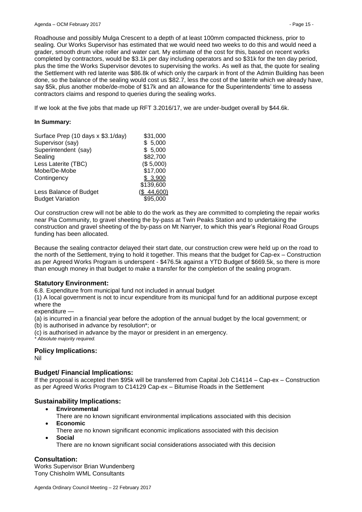Roadhouse and possibly Mulga Crescent to a depth of at least 100mm compacted thickness, prior to sealing. Our Works Supervisor has estimated that we would need two weeks to do this and would need a grader, smooth drum vibe roller and water cart. My estimate of the cost for this, based on recent works completed by contractors, would be \$3.1k per day including operators and so \$31k for the ten day period, plus the time the Works Supervisor devotes to supervising the works. As well as that, the quote for sealing the Settlement with red laterite was \$86.8k of which only the carpark in front of the Admin Building has been done, so the balance of the sealing would cost us \$82.7, less the cost of the laterite which we already have, say \$5k, plus another mobe/de-mobe of \$17k and an allowance for the Superintendents' time to assess contractors claims and respond to queries during the sealing works.

If we look at the five jobs that made up RFT 3.2016/17, we are under-budget overall by \$44.6k.

#### **In Summary:**

| Surface Prep (10 days x \$3.1/day) | \$31,000   |
|------------------------------------|------------|
| Supervisor (say)                   | \$5,000    |
| Superintendent (say)               | \$5,000    |
| Sealing                            | \$82,700   |
| Less Laterite (TBC)                | (\$5,000)  |
| Mobe/De-Mobe                       | \$17,000   |
| Contingency                        | \$3,900    |
|                                    | \$139,600  |
| Less Balance of Budget             | (\$44,600) |
| <b>Budget Variation</b>            | \$95,000   |

Our construction crew will not be able to do the work as they are committed to completing the repair works near Pia Community, to gravel sheeting the by-pass at Twin Peaks Station and to undertaking the construction and gravel sheeting of the by-pass on Mt Narryer, to which this year's Regional Road Groups funding has been allocated.

Because the sealing contractor delayed their start date, our construction crew were held up on the road to the north of the Settlement, trying to hold it together. This means that the budget for Cap-ex – Construction as per Agreed Works Program is underspent - \$476.5k against a YTD Budget of \$669.5k, so there is more than enough money in that budget to make a transfer for the completion of the sealing program.

#### **Statutory Environment:**

6.8. Expenditure from municipal fund not included in annual budget

(1) A local government is not to incur expenditure from its municipal fund for an additional purpose except where the

expenditure —

(a) is incurred in a financial year before the adoption of the annual budget by the local government; or

(b) is authorised in advance by resolution\*; or

(c) is authorised in advance by the mayor or president in an emergency.

*\* Absolute majority required.*

#### **Policy Implications:**

Nil

#### **Budget/ Financial Implications:**

If the proposal is accepted then \$95k will be transferred from Capital Job C14114 – Cap-ex – Construction as per Agreed Works Program to C14129 Cap-ex – Bitumise Roads in the Settlement

#### **Sustainability Implications:**

- **Environmental**
- There are no known significant environmental implications associated with this decision **Economic**
	- There are no known significant economic implications associated with this decision
- **Social**
	- There are no known significant social considerations associated with this decision

#### **Consultation:**

Works Supervisor Brian Wundenberg Tony Chisholm WML Consultants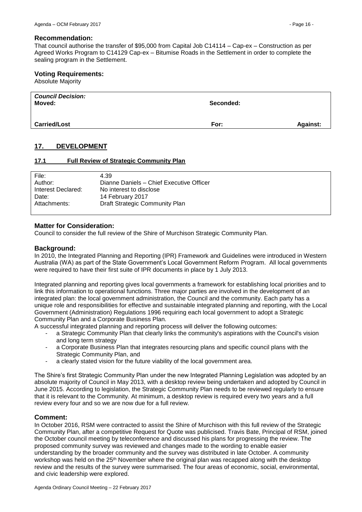#### **Recommendation:**

That council authorise the transfer of \$95,000 from Capital Job C14114 – Cap-ex – Construction as per Agreed Works Program to C14129 Cap-ex – Bitumise Roads in the Settlement in order to complete the sealing program in the Settlement.

#### **Voting Requirements:**

Absolute Majority

| <b>Council Decision:</b><br>Moved: | Seconded: |                 |
|------------------------------------|-----------|-----------------|
| <b>Carried/Lost</b>                | For:      | <b>Against:</b> |

# <span id="page-15-0"></span>**17. DEVELOPMENT**

#### <span id="page-15-1"></span>**17.1 Full Review of Strategic Community Plan**

| File:              | 4.39                                     |
|--------------------|------------------------------------------|
| Author:            | Dianne Daniels - Chief Executive Officer |
| Interest Declared: | No interest to disclose                  |
| Date:              | 14 February 2017                         |
| Attachments:       | Draft Strategic Community Plan           |

#### **Matter for Consideration:**

Council to consider the full review of the Shire of Murchison Strategic Community Plan.

#### **Background:**

In 2010, the Integrated Planning and Reporting (IPR) Framework and Guidelines were introduced in Western Australia (WA) as part of the State Government's Local Government Reform Program. All local governments were required to have their first suite of IPR documents in place by 1 July 2013.

Integrated planning and reporting gives local governments a framework for establishing local priorities and to link this information to operational functions. Three major parties are involved in the development of an integrated plan: the local government administration, the Council and the community. Each party has a unique role and responsibilities for effective and sustainable integrated planning and reporting, with the Local Government (Administration) Regulations 1996 requiring each local government to adopt a Strategic Community Plan and a Corporate Business Plan.

A successful integrated planning and reporting process will deliver the following outcomes:

- a Strategic Community Plan that clearly links the community's aspirations with the Council's vision and long term strategy
- a Corporate Business Plan that integrates resourcing plans and specific council plans with the Strategic Community Plan, and
- a clearly stated vision for the future viability of the local government area.

The Shire's first Strategic Community Plan under the new Integrated Planning Legislation was adopted by an absolute majority of Council in May 2013, with a desktop review being undertaken and adopted by Council in June 2015. According to legislation, the Strategic Community Plan needs to be reviewed regularly to ensure that it is relevant to the Community. At minimum, a desktop review is required every two years and a full review every four and so we are now due for a full review.

#### **Comment:**

In October 2016, RSM were contracted to assist the Shire of Murchison with this full review of the Strategic Community Plan, after a competitive Request for Quote was publicised. Travis Bate, Principal of RSM, joined the October council meeting by teleconference and discussed his plans for progressing the review. The proposed community survey was reviewed and changes made to the wording to enable easier understanding by the broader community and the survey was distributed in late October. A community workshop was held on the 25<sup>th</sup> November where the original plan was recapped along with the desktop review and the results of the survey were summarised. The four areas of economic, social, environmental, and civic leadership were explored.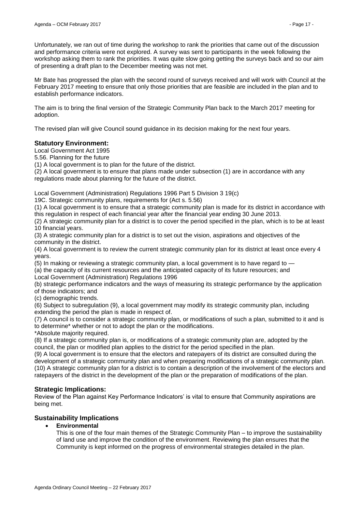Unfortunately, we ran out of time during the workshop to rank the priorities that came out of the discussion and performance criteria were not explored. A survey was sent to participants in the week following the workshop asking them to rank the priorities. It was quite slow going getting the surveys back and so our aim of presenting a draft plan to the December meeting was not met.

Mr Bate has progressed the plan with the second round of surveys received and will work with Council at the February 2017 meeting to ensure that only those priorities that are feasible are included in the plan and to establish performance indicators.

The aim is to bring the final version of the Strategic Community Plan back to the March 2017 meeting for adoption.

The revised plan will give Council sound guidance in its decision making for the next four years.

# **Statutory Environment:**

Local Government Act 1995

5.56. Planning for the future

(1) A local government is to plan for the future of the district.

(2) A local government is to ensure that plans made under subsection (1) are in accordance with any regulations made about planning for the future of the district.

Local Government (Administration) Regulations 1996 Part 5 Division 3 19(c)

19C. Strategic community plans, requirements for (Act s. 5.56)

(1) A local government is to ensure that a strategic community plan is made for its district in accordance with this regulation in respect of each financial year after the financial year ending 30 June 2013.

(2) A strategic community plan for a district is to cover the period specified in the plan, which is to be at least 10 financial years.

(3) A strategic community plan for a district is to set out the vision, aspirations and objectives of the community in the district.

(4) A local government is to review the current strategic community plan for its district at least once every 4 years.

(5) In making or reviewing a strategic community plan, a local government is to have regard to —

(a) the capacity of its current resources and the anticipated capacity of its future resources; and

Local Government (Administration) Regulations 1996

(b) strategic performance indicators and the ways of measuring its strategic performance by the application of those indicators; and

(c) demographic trends.

(6) Subject to subregulation (9), a local government may modify its strategic community plan, including extending the period the plan is made in respect of.

(7) A council is to consider a strategic community plan, or modifications of such a plan, submitted to it and is to determine\* whether or not to adopt the plan or the modifications.

\*Absolute majority required.

(8) If a strategic community plan is, or modifications of a strategic community plan are, adopted by the council, the plan or modified plan applies to the district for the period specified in the plan.

(9) A local government is to ensure that the electors and ratepayers of its district are consulted during the development of a strategic community plan and when preparing modifications of a strategic community plan. (10) A strategic community plan for a district is to contain a description of the involvement of the electors and ratepayers of the district in the development of the plan or the preparation of modifications of the plan.

# **Strategic Implications:**

Review of the Plan against Key Performance Indicators' is vital to ensure that Community aspirations are being met.

# **Sustainability Implications**

**Environmental**

This is one of the four main themes of the Strategic Community Plan – to improve the sustainability of land use and improve the condition of the environment. Reviewing the plan ensures that the Community is kept informed on the progress of environmental strategies detailed in the plan.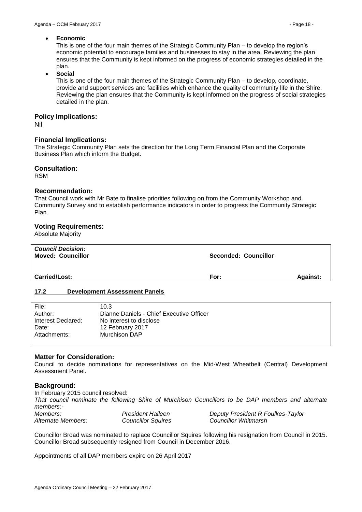#### **Economic**

This is one of the four main themes of the Strategic Community Plan – to develop the region's economic potential to encourage families and businesses to stay in the area. Reviewing the plan ensures that the Community is kept informed on the progress of economic strategies detailed in the plan.

**Social**

This is one of the four main themes of the Strategic Community Plan – to develop, coordinate, provide and support services and facilities which enhance the quality of community life in the Shire. Reviewing the plan ensures that the Community is kept informed on the progress of social strategies detailed in the plan.

#### **Policy Implications:**

Nil

#### **Financial Implications:**

The Strategic Community Plan sets the direction for the Long Term Financial Plan and the Corporate Business Plan which inform the Budget.

#### **Consultation:**

RSM

#### **Recommendation:**

That Council work with Mr Bate to finalise priorities following on from the Community Workshop and Community Survey and to establish performance indicators in order to progress the Community Strategic Plan.

#### **Voting Requirements:**

Absolute Majority

| <b>Council Decision:</b><br><b>Moved: Councillor</b> | <b>Seconded: Councillor</b> |                 |
|------------------------------------------------------|-----------------------------|-----------------|
| <b>Carried/Lost:</b>                                 | For:                        | <b>Against:</b> |

#### <span id="page-17-0"></span>**17.2 Development Assessment Panels**

| File:              | 10.3                                     |
|--------------------|------------------------------------------|
| Author:            | Dianne Daniels - Chief Executive Officer |
| Interest Declared: | No interest to disclose                  |
| Date:              | 12 February 2017                         |
| Attachments:       | Murchison DAP                            |

#### **Matter for Consideration:**

Council to decide nominations for representatives on the Mid-West Wheatbelt (Central) Development Assessment Panel.

#### **Background:**

In February 2015 council resolved: *That council nominate the following Shire of Murchison Councillors to be DAP members and alternate members:- Members: President Halleen Deputy President R Foulkes-Taylor Alternate Members: Councillor Squires Councillor Whitmarsh*

Councillor Broad was nominated to replace Councillor Squires following his resignation from Council in 2015. Councillor Broad subsequently resigned from Council in December 2016.

Appointments of all DAP members expire on 26 April 2017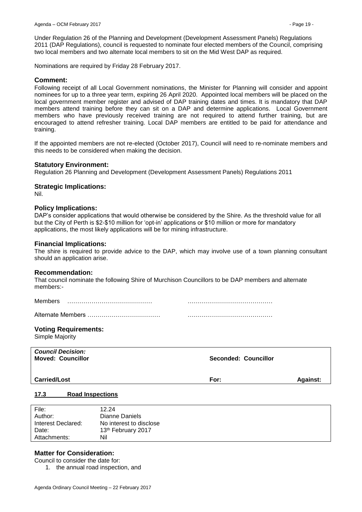Under Regulation 26 of the Planning and Development (Development Assessment Panels) Regulations 2011 (DAP Regulations), council is requested to nominate four elected members of the Council, comprising two local members and two alternate local members to sit on the Mid West DAP as required.

Nominations are required by Friday 28 February 2017.

# **Comment:**

Following receipt of all Local Government nominations, the Minister for Planning will consider and appoint nominees for up to a three year term, expiring 26 April 2020. Appointed local members will be placed on the local government member register and advised of DAP training dates and times. It is mandatory that DAP members attend training before they can sit on a DAP and determine applications. Local Government members who have previously received training are not required to attend further training, but are encouraged to attend refresher training. Local DAP members are entitled to be paid for attendance and training.

If the appointed members are not re-elected (October 2017), Council will need to re-nominate members and this needs to be considered when making the decision.

# **Statutory Environment:**

Regulation 26 Planning and Development (Development Assessment Panels) Regulations 2011

#### **Strategic Implications:**

Nil.

#### **Policy Implications:**

DAP's consider applications that would otherwise be considered by the Shire. As the threshold value for all but the City of Perth is \$2-\$10 million for 'opt-in' applications or \$10 million or more for mandatory applications, the most likely applications will be for mining infrastructure.

#### **Financial Implications:**

The shire is required to provide advice to the DAP, which may involve use of a town planning consultant should an application arise.

#### **Recommendation:**

That council nominate the following Shire of Murchison Councillors to be DAP members and alternate members:-

Members …………………………………… ……………………………………

Alternate Members ……………………………… ……………………………………

**Voting Requirements:**

Simple Majority

| <b>Council Decision:</b><br><b>Moved: Councillor</b> | Seconded: Councillor |                 |
|------------------------------------------------------|----------------------|-----------------|
| <b>Carried/Lost</b>                                  | For:                 | <b>Against:</b> |

#### <span id="page-18-0"></span>**17.3 Road Inspections**

| File:              | 12.24                   |
|--------------------|-------------------------|
| Author:            | Dianne Daniels          |
| Interest Declared: | No interest to disclose |
| Date:              | 13th February 2017      |
| Attachments:       | Nil                     |

#### **Matter for Consideration:**

Council to consider the date for:

1. the annual road inspection, and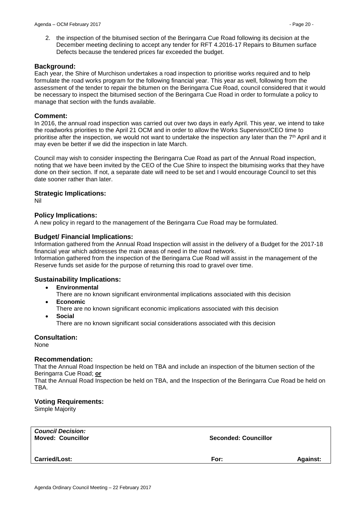2. the inspection of the bitumised section of the Beringarra Cue Road following its decision at the December meeting declining to accept any tender for RFT 4.2016-17 Repairs to Bitumen surface Defects because the tendered prices far exceeded the budget.

# **Background:**

Each year, the Shire of Murchison undertakes a road inspection to prioritise works required and to help formulate the road works program for the following financial year. This year as well, following from the assessment of the tender to repair the bitumen on the Beringarra Cue Road, council considered that it would be necessary to inspect the bitumised section of the Beringarra Cue Road in order to formulate a policy to manage that section with the funds available.

# **Comment:**

In 2016, the annual road inspection was carried out over two days in early April. This year, we intend to take the roadworks priorities to the April 21 OCM and in order to allow the Works Supervisor/CEO time to prioritise after the inspection, we would not want to undertake the inspection any later than the 7<sup>th</sup> April and it may even be better if we did the inspection in late March.

Council may wish to consider inspecting the Beringarra Cue Road as part of the Annual Road inspection, noting that we have been invited by the CEO of the Cue Shire to inspect the bitumising works that they have done on their section. If not, a separate date will need to be set and I would encourage Council to set this date sooner rather than later.

# **Strategic Implications:**

Nil

# **Policy Implications:**

A new policy in regard to the management of the Beringarra Cue Road may be formulated.

# **Budget/ Financial Implications:**

Information gathered from the Annual Road Inspection will assist in the delivery of a Budget for the 2017-18 financial year which addresses the main areas of need in the road network.

Information gathered from the inspection of the Beringarra Cue Road will assist in the management of the Reserve funds set aside for the purpose of returning this road to gravel over time.

# **Sustainability Implications:**

**Environmental**

There are no known significant environmental implications associated with this decision

- **Economic**
	- There are no known significant economic implications associated with this decision
- **Social**

There are no known significant social considerations associated with this decision

#### **Consultation:**

None

#### **Recommendation:**

That the Annual Road Inspection be held on TBA and include an inspection of the bitumen section of the Beringarra Cue Road; **or**

That the Annual Road Inspection be held on TBA, and the Inspection of the Beringarra Cue Road be held on TBA.

#### **Voting Requirements:**

Simple Majority

| <b>Council Decision:</b><br><b>Moved: Councillor</b> | <b>Seconded: Councillor</b> |                 |
|------------------------------------------------------|-----------------------------|-----------------|
| <b>Carried/Lost:</b>                                 | For:                        | <b>Against:</b> |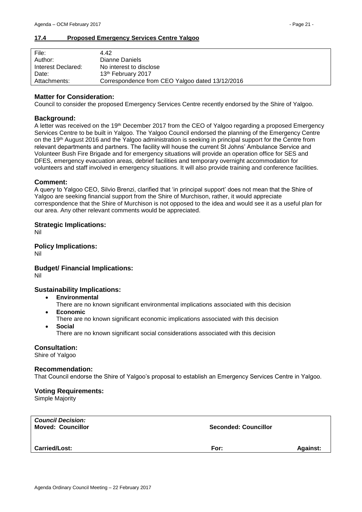#### <span id="page-20-0"></span>**17.4 Proposed Emergency Services Centre Yalgoo**

| File:              | 442                                             |
|--------------------|-------------------------------------------------|
| Author:            | Dianne Daniels                                  |
| Interest Declared: | No interest to disclose                         |
| Date:              | 13th February 2017                              |
| Attachments:       | Correspondence from CEO Yalgoo dated 13/12/2016 |

#### **Matter for Consideration:**

Council to consider the proposed Emergency Services Centre recently endorsed by the Shire of Yalgoo.

#### **Background:**

A letter was received on the 19th December 2017 from the CEO of Yalgoo regarding a proposed Emergency Services Centre to be built in Yalgoo. The Yalgoo Council endorsed the planning of the Emergency Centre on the 19th August 2016 and the Yalgoo administration is seeking in principal support for the Centre from relevant departments and partners. The facility will house the current St Johns' Ambulance Service and Volunteer Bush Fire Brigade and for emergency situations will provide an operation office for SES and DFES, emergency evacuation areas, debrief facilities and temporary overnight accommodation for volunteers and staff involved in emergency situations. It will also provide training and conference facilities.

#### **Comment:**

A query to Yalgoo CEO, Silvio Brenzi, clarified that 'in principal support' does not mean that the Shire of Yalgoo are seeking financial support from the Shire of Murchison, rather, it would appreciate correspondence that the Shire of Murchison is not opposed to the idea and would see it as a useful plan for our area. Any other relevant comments would be appreciated.

#### **Strategic Implications:**

Nil

# **Policy Implications:**

Nil

# **Budget/ Financial Implications:**

Nil

# **Sustainability Implications:**

- **Environmental**
	- There are no known significant environmental implications associated with this decision
	- **Economic**
		- There are no known significant economic implications associated with this decision
	- **Social**
		- There are no known significant social considerations associated with this decision

#### **Consultation:**

Shire of Yalgoo

#### **Recommendation:**

That Council endorse the Shire of Yalgoo's proposal to establish an Emergency Services Centre in Yalgoo.

#### **Voting Requirements:**

Simple Majority

| <b>Council Decision:</b><br><b>Moved: Councillor</b> | <b>Seconded: Councillor</b> |                 |
|------------------------------------------------------|-----------------------------|-----------------|
| <b>Carried/Lost:</b>                                 | For:                        | <b>Against:</b> |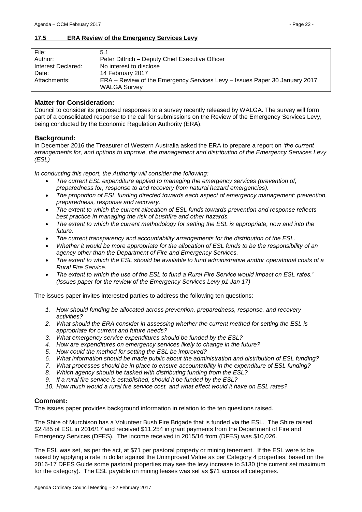# <span id="page-21-0"></span>**17.5 ERA Review of the Emergency Services Levy**

| File:              | 5.1                                                                        |
|--------------------|----------------------------------------------------------------------------|
| Author:            | Peter Dittrich – Deputy Chief Executive Officer                            |
| Interest Declared: | No interest to disclose                                                    |
| Date:              | 14 February 2017                                                           |
| Attachments:       | ERA – Review of the Emergency Services Levy – Issues Paper 30 January 2017 |
|                    | <b>WALGA Survey</b>                                                        |

#### **Matter for Consideration:**

Council to consider its proposed responses to a survey recently released by WALGA. The survey will form part of a consolidated response to the call for submissions on the Review of the Emergency Services Levy, being conducted by the Economic Regulation Authority (ERA).

# **Background:**

In December 2016 the Treasurer of Western Australia asked the ERA to prepare a report on *'the current arrangements for, and options to improve, the management and distribution of the Emergency Services Levy (ESL)*

*In conducting this report, the Authority will consider the following:* 

- *The current ESL expenditure applied to managing the emergency services (prevention of, preparedness for, response to and recovery from natural hazard emergencies).*
- *The proportion of ESL funding directed towards each aspect of emergency management: prevention, preparedness, response and recovery.*
- *The extent to which the current allocation of ESL funds towards prevention and response reflects best practice in managing the risk of bushfire and other hazards.*
- *The extent to which the current methodology for setting the ESL is appropriate, now and into the future.*
- *The current transparency and accountability arrangements for the distribution of the ESL.*
- *Whether it would be more appropriate for the allocation of ESL funds to be the responsibility of an agency other than the Department of Fire and Emergency Services.*
- *The extent to which the ESL should be available to fund administrative and/or operational costs of a Rural Fire Service.*
- *The extent to which the use of the ESL to fund a Rural Fire Service would impact on ESL rates.' (Issues paper for the review of the Emergency Services Levy p1 Jan 17)*

The issues paper invites interested parties to address the following ten questions:

- *1. How should funding be allocated across prevention, preparedness, response, and recovery activities?*
- *2. What should the ERA consider in assessing whether the current method for setting the ESL is appropriate for current and future needs?*
- *3. What emergency service expenditures should be funded by the ESL?*
- *4. How are expenditures on emergency services likely to change in the future?*
- 
- *5. How could the method for setting the ESL be improved? 6. What information should be made public about the administration and distribution of ESL funding?*
- *7. What processes should be in place to ensure accountability in the expenditure of ESL funding?*
- *8. Which agency should be tasked with distributing funding from the ESL?*
- *9. If a rural fire service is established, should it be funded by the ESL?*
- *10. How much would a rural fire service cost, and what effect would it have on ESL rates?*

#### **Comment:**

The issues paper provides background information in relation to the ten questions raised.

The Shire of Murchison has a Volunteer Bush Fire Brigade that is funded via the ESL. The Shire raised \$2,485 of ESL in 2016/17 and received \$11,254 in grant payments from the Department of Fire and Emergency Services (DFES). The income received in 2015/16 from (DFES) was \$10,026.

The ESL was set, as per the act, at \$71 per pastoral property or mining tenement. If the ESL were to be raised by applying a rate in dollar against the Unimproved Value as per Category 4 properties, based on the 2016-17 DFES Guide some pastoral properties may see the levy increase to \$130 (the current set maximum for the category). The ESL payable on mining leases was set as \$71 across all categories.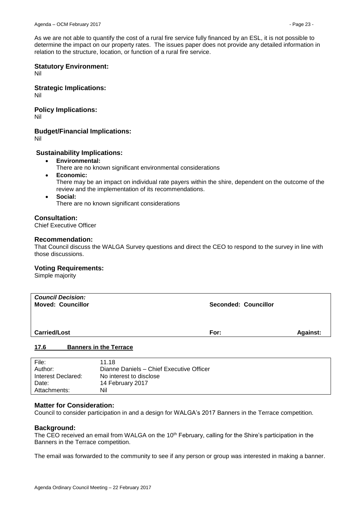As we are not able to quantify the cost of a rural fire service fully financed by an ESL, it is not possible to determine the impact on our property rates. The issues paper does not provide any detailed information in relation to the structure, location, or function of a rural fire service.

# **Statutory Environment:**

Nil

**Strategic Implications:** Nil

# **Policy Implications:**

Nil

**Budget/Financial Implications:**

Nil

# **Sustainability Implications:**

- **Environmental:**
	- There are no known significant environmental considerations
- **Economic:**

There may be an impact on individual rate payers within the shire, dependent on the outcome of the review and the implementation of its recommendations.

 **Social:** There are no known significant considerations

# **Consultation:**

Chief Executive Officer

# **Recommendation:**

That Council discuss the WALGA Survey questions and direct the CEO to respond to the survey in line with those discussions.

#### **Voting Requirements:**

Simple majority

| <b>Council Decision:</b><br><b>Moved: Councillor</b> | <b>Seconded: Councillor</b> |                 |
|------------------------------------------------------|-----------------------------|-----------------|
| <b>Carried/Lost</b>                                  | For:                        | <b>Against:</b> |
| 17C<br><b>Donnore in the Torroco</b>                 |                             |                 |

#### <span id="page-22-0"></span>**17.6 Banners in the Terrace**

| File:              | 11.18                                    |
|--------------------|------------------------------------------|
| Author:            | Dianne Daniels - Chief Executive Officer |
| Interest Declared: | No interest to disclose                  |
| Date:              | 14 February 2017                         |
| Attachments:       | Nil                                      |

### **Matter for Consideration:**

Council to consider participation in and a design for WALGA's 2017 Banners in the Terrace competition.

#### **Background:**

The CEO received an email from WALGA on the 10<sup>th</sup> February, calling for the Shire's participation in the Banners in the Terrace competition.

The email was forwarded to the community to see if any person or group was interested in making a banner.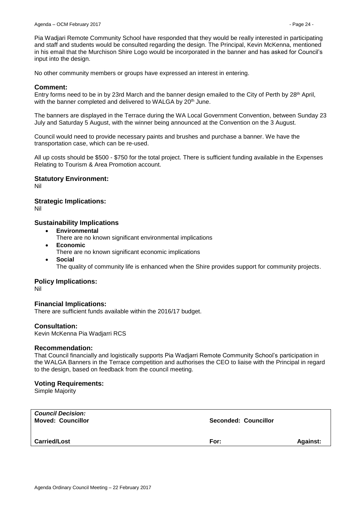Pia Wadjari Remote Community School have responded that they would be really interested in participating and staff and students would be consulted regarding the design. The Principal, Kevin McKenna, mentioned in his email that the Murchison Shire Logo would be incorporated in the banner and has asked for Council's input into the design.

No other community members or groups have expressed an interest in entering.

#### **Comment:**

Entry forms need to be in by 23rd March and the banner design emailed to the City of Perth by 28<sup>th</sup> April, with the banner completed and delivered to WALGA by 20<sup>th</sup> June.

The banners are displayed in the Terrace during the WA Local Government Convention, between Sunday 23 July and Saturday 5 August, with the winner being announced at the Convention on the 3 August.

Council would need to provide necessary paints and brushes and purchase a banner. We have the transportation case, which can be re-used.

All up costs should be \$500 - \$750 for the total project. There is sufficient funding available in the Expenses Relating to Tourism & Area Promotion account.

#### **Statutory Environment:**

Nil

#### **Strategic Implications:**

Nil

#### **Sustainability Implications**

- **Environmental**
	- There are no known significant environmental implications
- **Economic** There are no known significant economic implications
- **Social** The quality of community life is enhanced when the Shire provides support for community projects.

#### **Policy Implications:**

Nil

#### **Financial Implications:**

There are sufficient funds available within the 2016/17 budget.

#### **Consultation:**

Kevin McKenna Pia Wadjarri RCS

#### **Recommendation:**

That Council financially and logistically supports Pia Wadjarri Remote Community School's participation in the WALGA Banners in the Terrace competition and authorises the CEO to liaise with the Principal in regard to the design, based on feedback from the council meeting.

#### **Voting Requirements:**

Simple Majority

| <b>Council Decision:</b><br><b>Moved: Councillor</b> | Seconded: Councillor |                 |
|------------------------------------------------------|----------------------|-----------------|
| <b>Carried/Lost</b>                                  | For:                 | <b>Against:</b> |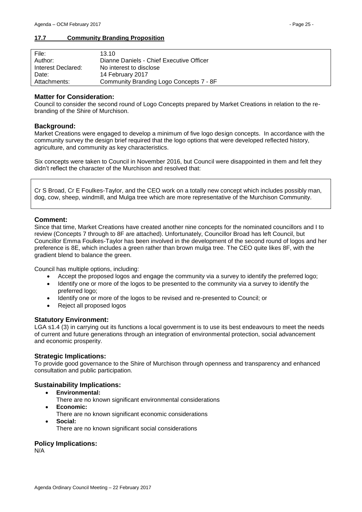### <span id="page-24-0"></span>**17.7 Community Branding Proposition**

| File:              | 13.10                                    |
|--------------------|------------------------------------------|
| Author:            | Dianne Daniels - Chief Executive Officer |
| Interest Declared: | No interest to disclose                  |
| Date:              | 14 February 2017                         |
| Attachments:       | Community Branding Logo Concepts 7 - 8F  |

#### **Matter for Consideration:**

Council to consider the second round of Logo Concepts prepared by Market Creations in relation to the rebranding of the Shire of Murchison.

#### **Background:**

Market Creations were engaged to develop a minimum of five logo design concepts. In accordance with the community survey the design brief required that the logo options that were developed reflected history, agriculture, and community as key characteristics.

Six concepts were taken to Council in November 2016, but Council were disappointed in them and felt they didn't reflect the character of the Murchison and resolved that:

Cr S Broad, Cr E Foulkes-Taylor, and the CEO work on a totally new concept which includes possibly man, dog, cow, sheep, windmill, and Mulga tree which are more representative of the Murchison Community.

#### **Comment:**

Since that time, Market Creations have created another nine concepts for the nominated councillors and I to review (Concepts 7 through to 8F are attached). Unfortunately, Councillor Broad has left Council, but Councillor Emma Foulkes-Taylor has been involved in the development of the second round of logos and her preference is 8E, which includes a green rather than brown mulga tree. The CEO quite likes 8F, with the gradient blend to balance the green.

Council has multiple options, including:

- Accept the proposed logos and engage the community via a survey to identify the preferred logo;
- Identify one or more of the logos to be presented to the community via a survey to identify the preferred logo;
- Identify one or more of the logos to be revised and re-presented to Council; or
- Reject all proposed logos

#### **Statutory Environment:**

LGA s1.4 (3) in carrying out its functions a local government is to use its best endeavours to meet the needs of current and future generations through an integration of environmental protection, social advancement and economic prosperity.

#### **Strategic Implications:**

To provide good governance to the Shire of Murchison through openness and transparency and enhanced consultation and public participation.

#### **Sustainability Implications:**

- **Environmental:**
	- There are no known significant environmental considerations
- **Economic:**
	- There are no known significant economic considerations
	- **Social:**
		- There are no known significant social considerations

#### **Policy Implications:**

N/A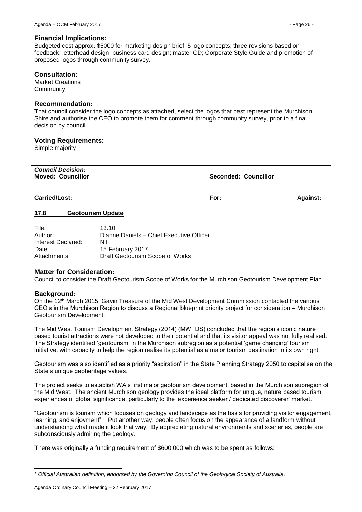#### **Financial Implications:**

Budgeted cost approx. \$5000 for marketing design brief; 5 logo concepts; three revisions based on feedback; letterhead design; business card design; master CD; Corporate Style Guide and promotion of proposed logos through community survey.

#### **Consultation:**

Market Creations **Community** 

#### **Recommendation:**

That council consider the logo concepts as attached, select the logos that best represent the Murchison Shire and authorise the CEO to promote them for comment through community survey, prior to a final decision by council.

#### **Voting Requirements:**

Simple majority

| <b>Council Decision:</b><br><b>Moved: Councillor</b> | <b>Seconded: Councillor</b> |                 |
|------------------------------------------------------|-----------------------------|-----------------|
| <b>Carried/Lost:</b>                                 | For:                        | <b>Against:</b> |

#### <span id="page-25-0"></span>**17.8 Geotourism Update**

| File:              | 13.10                                    |
|--------------------|------------------------------------------|
| Author:            | Dianne Daniels - Chief Executive Officer |
| Interest Declared: | Nil                                      |
| Date:              | 15 February 2017                         |
| Attachments:       | Draft Geotourism Scope of Works          |

#### **Matter for Consideration:**

Council to consider the Draft Geotourism Scope of Works for the Murchison Geotourism Development Plan.

#### **Background:**

1

On the 12th March 2015, Gavin Treasure of the Mid West Development Commission contacted the various CEO's in the Murchison Region to discuss a Regional blueprint priority project for consideration – Murchison Geotourism Development.

The Mid West Tourism Development Strategy (2014) (MWTDS) concluded that the region's iconic nature based tourist attractions were not developed to their potential and that its visitor appeal was not fully realised. The Strategy identified 'geotourism' in the Murchison subregion as a potential 'game changing' tourism initiative, with capacity to help the region realise its potential as a major tourism destination in its own right.

Geotourism was also identified as a priority "aspiration" in the State Planning Strategy 2050 to capitalise on the State's unique geoheritage values.

The project seeks to establish WA's first major geotourism development, based in the Murchison subregion of the Mid West. The ancient Murchison geology provides the ideal platform for unique, nature based tourism experiences of global significance, particularly to the 'experience seeker / dedicated discoverer' market.

"Geotourism is tourism which focuses on geology and landscape as the basis for providing visitor engagement, learning, and enjoyment".<sup>1</sup> Put another way, people often focus on the appearance of a landform without understanding what made it look that way. By appreciating natural environments and sceneries, people are subconsciously admiring the geology.

There was originally a funding requirement of \$600,000 which was to be spent as follows:

*<sup>1</sup> Official Australian definition, endorsed by the Governing Council of the Geological Society of Australia.*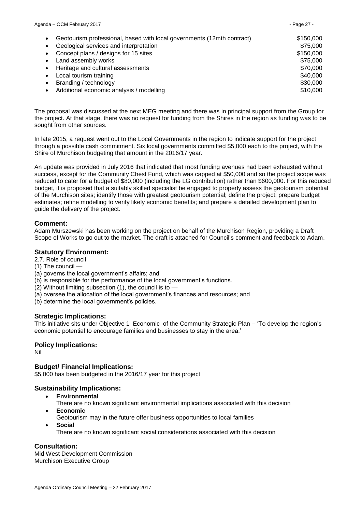| Agenda - OCM February 2017                                             | - Page 27 - |  |
|------------------------------------------------------------------------|-------------|--|
| Geotourism professional, based with local governments (12mth contract) | \$150,000   |  |
| Geological services and interpretation                                 | \$75,000    |  |
| Concept plans / designs for 15 sites                                   | \$150,000   |  |
| Land assembly works                                                    | \$75,000    |  |
| Heritage and cultural assessments                                      | \$70,000    |  |
| Local tourism training                                                 | \$40,000    |  |
| Branding / technology                                                  | \$30,000    |  |
| Additional economic analysis / modelling<br>٠                          | \$10,000    |  |

The proposal was discussed at the next MEG meeting and there was in principal support from the Group for the project. At that stage, there was no request for funding from the Shires in the region as funding was to be sought from other sources.

In late 2015, a request went out to the Local Governments in the region to indicate support for the project through a possible cash commitment. Six local governments committed \$5,000 each to the project, with the Shire of Murchison budgeting that amount in the 2016/17 year.

An update was provided in July 2016 that indicated that most funding avenues had been exhausted without success, except for the Community Chest Fund, which was capped at \$50,000 and so the project scope was reduced to cater for a budget of \$80,000 (including the LG contribution) rather than \$600,000. For this reduced budget, it is proposed that a suitably skilled specialist be engaged to properly assess the geotourism potential of the Murchison sites; identify those with greatest geotourism potential; define the project; prepare budget estimates; refine modelling to verify likely economic benefits; and prepare a detailed development plan to guide the delivery of the project.

# **Comment:**

Adam Murszewski has been working on the project on behalf of the Murchison Region, providing a Draft Scope of Works to go out to the market. The draft is attached for Council's comment and feedback to Adam.

# **Statutory Environment:**

2.7. Role of council

- (1) The council —
- (a) governs the local government's affairs; and
- (b) is responsible for the performance of the local government's functions.
- (2) Without limiting subsection (1), the council is to —
- (a) oversee the allocation of the local government's finances and resources; and
- (b) determine the local government's policies.

#### **Strategic Implications:**

This initiative sits under Objective 1 Economic of the Community Strategic Plan – 'To develop the region's economic potential to encourage families and businesses to stay in the area.'

#### **Policy Implications:**

Nil

#### **Budget/ Financial Implications:**

\$5,000 has been budgeted in the 2016/17 year for this project

#### **Sustainability Implications:**

- **Environmental**
	- There are no known significant environmental implications associated with this decision
- **Economic**
	- Geotourism may in the future offer business opportunities to local families
- **Social**
	- There are no known significant social considerations associated with this decision

#### **Consultation:**

Mid West Development Commission Murchison Executive Group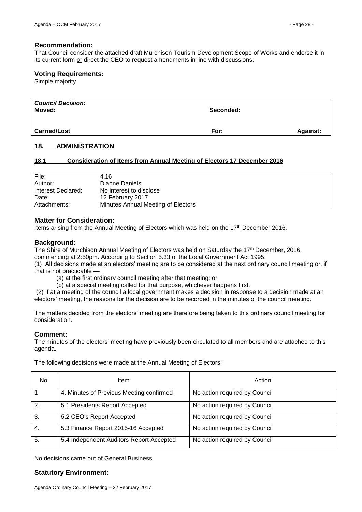#### **Recommendation:**

That Council consider the attached draft Murchison Tourism Development Scope of Works and endorse it in its current form or direct the CEO to request amendments in line with discussions.

#### **Voting Requirements:**

Simple majority

| <b>Council Decision:</b><br>Moved: | Seconded: |                 |
|------------------------------------|-----------|-----------------|
| <b>Carried/Lost</b>                | For:      | <b>Against:</b> |

#### <span id="page-27-0"></span>**18. ADMINISTRATION**

#### <span id="page-27-1"></span>**18.1 Consideration of Items from Annual Meeting of Electors 17 December 2016**

| File:              | 4.16                               |
|--------------------|------------------------------------|
| Author:            | Dianne Daniels                     |
| Interest Declared: | No interest to disclose            |
| Date:              | 12 February 2017                   |
| Attachments:       | Minutes Annual Meeting of Electors |

#### **Matter for Consideration:**

Items arising from the Annual Meeting of Electors which was held on the 17th December 2016.

#### **Background:**

The Shire of Murchison Annual Meeting of Electors was held on Saturday the 17<sup>th</sup> December, 2016, commencing at 2:50pm. According to Section 5.33 of the Local Government Act 1995:

(1) All decisions made at an electors' meeting are to be considered at the next ordinary council meeting or, if that is not practicable -

(a) at the first ordinary council meeting after that meeting; or

(b) at a special meeting called for that purpose, whichever happens first.

(2) If at a meeting of the council a local government makes a decision in response to a decision made at an electors' meeting, the reasons for the decision are to be recorded in the minutes of the council meeting.

The matters decided from the electors' meeting are therefore being taken to this ordinary council meeting for consideration.

#### **Comment:**

The minutes of the electors' meeting have previously been circulated to all members and are attached to this agenda.

| No. | <b>Item</b>                              | Action                        |
|-----|------------------------------------------|-------------------------------|
|     | 4. Minutes of Previous Meeting confirmed | No action required by Council |
| 2.  | 5.1 Presidents Report Accepted           | No action required by Council |
| 3   | 5.2 CEO's Report Accepted                | No action required by Council |
| -4. | 5.3 Finance Report 2015-16 Accepted      | No action required by Council |
| 5.  | 5.4 Independent Auditors Report Accepted | No action required by Council |

The following decisions were made at the Annual Meeting of Electors:

No decisions came out of General Business.

#### **Statutory Environment:**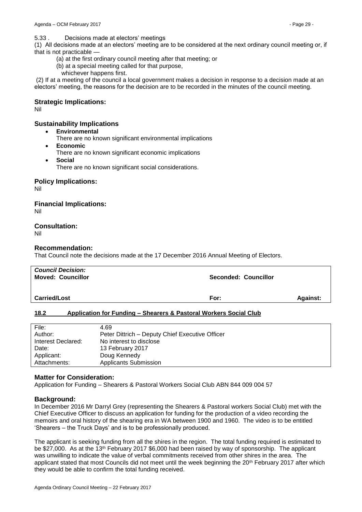5.33 . Decisions made at electors' meetings

(1) All decisions made at an electors' meeting are to be considered at the next ordinary council meeting or, if that is not practicable —

- (a) at the first ordinary council meeting after that meeting; or
- (b) at a special meeting called for that purpose,
	- whichever happens first.

(2) If at a meeting of the council a local government makes a decision in response to a decision made at an electors' meeting, the reasons for the decision are to be recorded in the minutes of the council meeting.

# **Strategic Implications:**

Nil

# **Sustainability Implications**

- **Environmental**
	- There are no known significant environmental implications
- **Economic**
	- There are no known significant economic implications
- **Social** There are no known significant social considerations.

**Policy Implications:**

Nil

**Financial Implications:**

Nil

# **Consultation:**

Nil

# **Recommendation:**

That Council note the decisions made at the 17 December 2016 Annual Meeting of Electors.

| <b>Council Decision:</b><br><b>Moved: Councillor</b> | Seconded: Councillor |                 |
|------------------------------------------------------|----------------------|-----------------|
| <b>Carried/Lost</b>                                  | For:                 | <b>Against:</b> |

# <span id="page-28-0"></span>**18.2 Application for Funding – Shearers & Pastoral Workers Social Club**

| File:              | 4.69                                            |
|--------------------|-------------------------------------------------|
| Author:            | Peter Dittrich - Deputy Chief Executive Officer |
| Interest Declared: | No interest to disclose                         |
| Date:              | 13 February 2017                                |
| Applicant:         | Doug Kennedy                                    |
| Attachments:       | <b>Applicants Submission</b>                    |

#### **Matter for Consideration:**

Application for Funding – Shearers & Pastoral Workers Social Club ABN 844 009 004 57

#### **Background:**

In December 2016 Mr Darryl Grey (representing the Shearers & Pastoral workers Social Club) met with the Chief Executive Officer to discuss an application for funding for the production of a video recording the memoirs and oral history of the shearing era in WA between 1900 and 1960. The video is to be entitled 'Shearers – the Truck Days' and is to be professionally produced.

The applicant is seeking funding from all the shires in the region. The total funding required is estimated to be \$27,000. As at the 13<sup>th</sup> February 2017 \$6,000 had been raised by way of sponsorship. The applicant was unwilling to indicate the value of verbal commitments received from other shires in the area. The applicant stated that most Councils did not meet until the week beginning the 20<sup>th</sup> February 2017 after which they would be able to confirm the total funding received.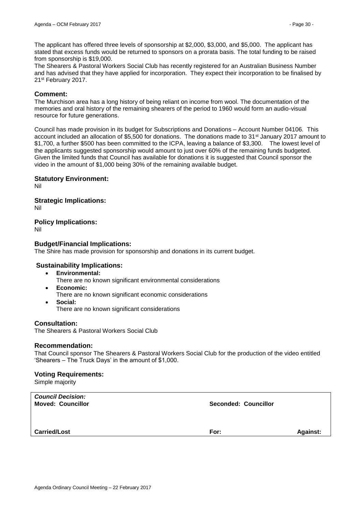The applicant has offered three levels of sponsorship at \$2,000, \$3,000, and \$5,000. The applicant has stated that excess funds would be returned to sponsors on a prorata basis. The total funding to be raised from sponsorship is \$19,000.

The Shearers & Pastoral Workers Social Club has recently registered for an Australian Business Number and has advised that they have applied for incorporation. They expect their incorporation to be finalised by 21st February 2017.

### **Comment:**

The Murchison area has a long history of being reliant on income from wool. The documentation of the memories and oral history of the remaining shearers of the period to 1960 would form an audio-visual resource for future generations.

Council has made provision in its budget for Subscriptions and Donations – Account Number 04106. This account included an allocation of \$5,500 for donations. The donations made to 31st January 2017 amount to \$1,700, a further \$500 has been committed to the ICPA, leaving a balance of \$3,300. The lowest level of the applicants suggested sponsorship would amount to just over 60% of the remaining funds budgeted. Given the limited funds that Council has available for donations it is suggested that Council sponsor the video in the amount of \$1,000 being 30% of the remaining available budget.

# **Statutory Environment:**

Nil

# **Strategic Implications:**

Nil

# **Policy Implications:**

Nil

# **Budget/Financial Implications:**

The Shire has made provision for sponsorship and donations in its current budget.

#### **Sustainability Implications:**

- **Environmental:**
	- There are no known significant environmental considerations
- **Economic:** There are no known significant economic considerations
- **Social:** There are no known significant considerations

#### **Consultation:**

The Shearers & Pastoral Workers Social Club

#### **Recommendation:**

That Council sponsor The Shearers & Pastoral Workers Social Club for the production of the video entitled 'Shearers – The Truck Days' in the amount of \$1,000.

#### **Voting Requirements:**

Simple majority

| <b>Council Decision:</b><br><b>Moved: Councillor</b> | Seconded: Councillor |                 |
|------------------------------------------------------|----------------------|-----------------|
| <b>Carried/Lost</b>                                  | For:                 | <b>Against:</b> |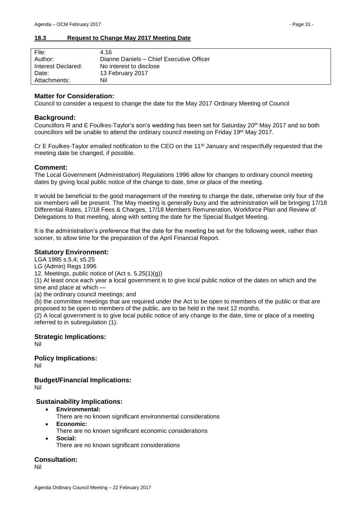#### <span id="page-30-0"></span>**18.3 Request to Change May 2017 Meeting Date**

| File:              | 4.16                                     |
|--------------------|------------------------------------------|
| Author:            | Dianne Daniels - Chief Executive Officer |
| Interest Declared: | No interest to disclose                  |
| Date:              | 13 February 2017                         |
| Attachments:       | Nil                                      |

#### **Matter for Consideration:**

Council to consider a request to change the date for the May 2017 Ordinary Meeting of Council

#### **Background:**

Councillors R and E Foulkes-Taylor's son's wedding has been set for Saturday 20th May 2017 and so both councillors will be unable to attend the ordinary council meeting on Friday 19th May 2017.

Cr E Foulkes-Taylor emailed notification to the CEO on the 11<sup>th</sup> January and respectfully requested that the meeting date be changed, if possible.

#### **Comment:**

The Local Government (Administration) Regulations 1996 allow for changes to ordinary council meeting dates by giving local public notice of the change to date, time or place of the meeting.

It would be beneficial to the good management of the meeting to change the date, otherwise only four of the six members will be present. The May meeting is generally busy and the administration will be bringing 17/18 Differential Rates, 17/18 Fees & Charges, 17/18 Members Remuneration, Workforce Plan and Review of Delegations to that meeting, along with setting the date for the Special Budget Meeting.

It is the administration's preference that the date for the meeting be set for the following week, rather than sooner, to allow time for the preparation of the April Financial Report.

#### **Statutory Environment:**

LGA 1995 s.5.4; s5.25

LG (Admin) Regs 1996

12. Meetings, public notice of (Act s. 5.25(1)(g))

(1) At least once each year a local government is to give local public notice of the dates on which and the time and place at which —

(a) the ordinary council meetings; and

(b) the committee meetings that are required under the Act to be open to members of the public or that are proposed to be open to members of the public, are to be held in the next 12 months.

(2) A local government is to give local public notice of any change to the date, time or place of a meeting referred to in subregulation (1).

#### **Strategic Implications:** Nil

**Policy Implications:** Nil

**Budget/Financial Implications:** Nil

# **Sustainability Implications:**

- **Environmental:**
	- There are no known significant environmental considerations
- **Economic:**
	- There are no known significant economic considerations
- **Social:** There are no known significant considerations

# **Consultation:**

Nil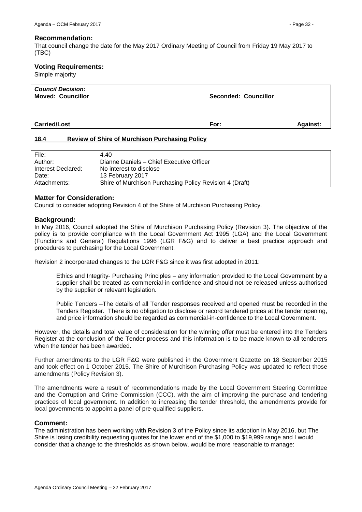#### **Recommendation:**

That council change the date for the May 2017 Ordinary Meeting of Council from Friday 19 May 2017 to (TBC)

### **Voting Requirements:**

Simple majority

| <b>Council Decision:</b><br><b>Moved: Councillor</b> | <b>Seconded: Councillor</b> |                 |
|------------------------------------------------------|-----------------------------|-----------------|
| <b>Carried/Lost</b>                                  | For:                        | <b>Against:</b> |

#### <span id="page-31-0"></span>**18.4 Review of Shire of Murchison Purchasing Policy**

| 4.40                                                    |
|---------------------------------------------------------|
| Dianne Daniels - Chief Executive Officer                |
| No interest to disclose                                 |
| 13 February 2017                                        |
| Shire of Murchison Purchasing Policy Revision 4 (Draft) |
|                                                         |

### **Matter for Consideration:**

Council to consider adopting Revision 4 of the Shire of Murchison Purchasing Policy.

#### **Background:**

In May 2016, Council adopted the Shire of Murchison Purchasing Policy (Revision 3). The objective of the policy is to provide compliance with the Local Government Act 1995 (LGA) and the Local Government (Functions and General) Regulations 1996 (LGR F&G) and to deliver a best practice approach and procedures to purchasing for the Local Government.

Revision 2 incorporated changes to the LGR F&G since it was first adopted in 2011:

Ethics and Integrity- Purchasing Principles – any information provided to the Local Government by a supplier shall be treated as commercial-in-confidence and should not be released unless authorised by the supplier or relevant legislation.

Public Tenders –The details of all Tender responses received and opened must be recorded in the Tenders Register. There is no obligation to disclose or record tendered prices at the tender opening, and price information should be regarded as commercial-in-confidence to the Local Government.

However, the details and total value of consideration for the winning offer must be entered into the Tenders Register at the conclusion of the Tender process and this information is to be made known to all tenderers when the tender has been awarded.

Further amendments to the LGR F&G were published in the Government Gazette on 18 September 2015 and took effect on 1 October 2015. The Shire of Murchison Purchasing Policy was updated to reflect those amendments (Policy Revision 3).

The amendments were a result of recommendations made by the Local Government Steering Committee and the Corruption and Crime Commission (CCC), with the aim of improving the purchase and tendering practices of local government. In addition to increasing the tender threshold, the amendments provide for local governments to appoint a panel of pre-qualified suppliers.

#### **Comment:**

The administration has been working with Revision 3 of the Policy since its adoption in May 2016, but The Shire is losing credibility requesting quotes for the lower end of the \$1,000 to \$19,999 range and I would consider that a change to the thresholds as shown below, would be more reasonable to manage: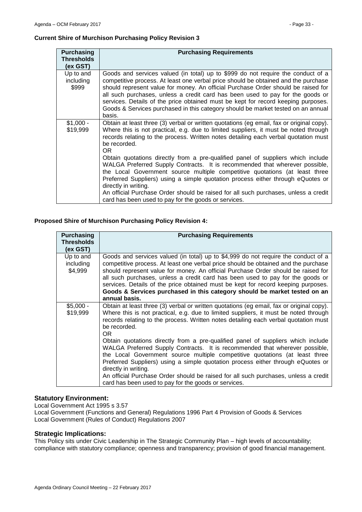### **Current Shire of Murchison Purchasing Policy Revision 3**

| <b>Purchasing</b><br><b>Thresholds</b><br>(ex GST) | <b>Purchasing Requirements</b>                                                                                                                                                                                                                                                                                                                                                                                                                                                                                                   |
|----------------------------------------------------|----------------------------------------------------------------------------------------------------------------------------------------------------------------------------------------------------------------------------------------------------------------------------------------------------------------------------------------------------------------------------------------------------------------------------------------------------------------------------------------------------------------------------------|
| Up to and<br>including<br>\$999                    | Goods and services valued (in total) up to \$999 do not require the conduct of a<br>competitive process. At least one verbal price should be obtained and the purchase<br>should represent value for money. An official Purchase Order should be raised for<br>all such purchases, unless a credit card has been used to pay for the goods or<br>services. Details of the price obtained must be kept for record keeping purposes.<br>Goods & Services purchased in this category should be market tested on an annual<br>basis. |
| $$1,000 -$<br>\$19,999                             | Obtain at least three (3) verbal or written quotations (eg email, fax or original copy).<br>Where this is not practical, e.g. due to limited suppliers, it must be noted through<br>records relating to the process. Written notes detailing each verbal quotation must<br>be recorded.<br>OR.                                                                                                                                                                                                                                   |
|                                                    | Obtain quotations directly from a pre-qualified panel of suppliers which include<br>WALGA Preferred Supply Contracts. It is recommended that wherever possible,<br>the Local Government source multiple competitive quotations (at least three<br>Preferred Suppliers) using a simple quotation process either through eQuotes or<br>directly in writing.                                                                                                                                                                        |
|                                                    | An official Purchase Order should be raised for all such purchases, unless a credit<br>card has been used to pay for the goods or services.                                                                                                                                                                                                                                                                                                                                                                                      |

# **Proposed Shire of Murchison Purchasing Policy Revision 4:**

| <b>Purchasing</b><br><b>Thresholds</b><br>(ex GST) | <b>Purchasing Requirements</b>                                                                                                                                                                                                                                                                                                                                                                                                                                                                                                     |
|----------------------------------------------------|------------------------------------------------------------------------------------------------------------------------------------------------------------------------------------------------------------------------------------------------------------------------------------------------------------------------------------------------------------------------------------------------------------------------------------------------------------------------------------------------------------------------------------|
| Up to and<br>including<br>\$4,999                  | Goods and services valued (in total) up to \$4,999 do not require the conduct of a<br>competitive process. At least one verbal price should be obtained and the purchase<br>should represent value for money. An official Purchase Order should be raised for<br>all such purchases, unless a credit card has been used to pay for the goods or<br>services. Details of the price obtained must be kept for record keeping purposes.<br>Goods & Services purchased in this category should be market tested on an<br>annual basis. |
| $$5,000 -$<br>\$19,999                             | Obtain at least three (3) verbal or written quotations (eg email, fax or original copy).<br>Where this is not practical, e.g. due to limited suppliers, it must be noted through<br>records relating to the process. Written notes detailing each verbal quotation must<br>be recorded.<br>OR.                                                                                                                                                                                                                                     |
|                                                    | Obtain quotations directly from a pre-qualified panel of suppliers which include<br>WALGA Preferred Supply Contracts. It is recommended that wherever possible,<br>the Local Government source multiple competitive quotations (at least three<br>Preferred Suppliers) using a simple quotation process either through eQuotes or<br>directly in writing.                                                                                                                                                                          |
|                                                    | An official Purchase Order should be raised for all such purchases, unless a credit<br>card has been used to pay for the goods or services.                                                                                                                                                                                                                                                                                                                                                                                        |

### **Statutory Environment:**

Local Government Act 1995 s 3.57

Local Government (Functions and General) Regulations 1996 Part 4 Provision of Goods & Services Local Government (Rules of Conduct) Regulations 2007

# **Strategic Implications:**

This Policy sits under Civic Leadership in The Strategic Community Plan – high levels of accountability; compliance with statutory compliance; openness and transparency; provision of good financial management.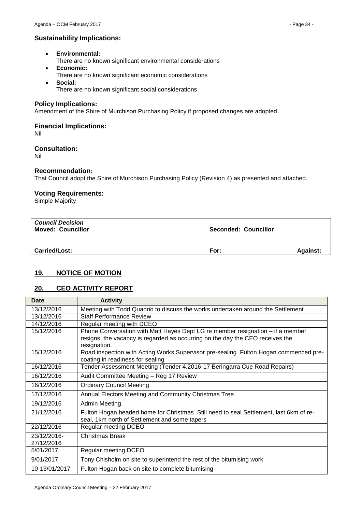# **Sustainability Implications:**

- **Environmental:**
- There are no known significant environmental considerations
- **Economic:**
- There are no known significant economic considerations
- **Social:** There are no known significant social considerations

# **Policy Implications:**

Amendment of the Shire of Murchison Purchasing Policy if proposed changes are adopted.

# **Financial Implications:**

Nil

# **Consultation:**

Nil

# **Recommendation:**

That Council adopt the Shire of Murchison Purchasing Policy (Revision 4) as presented and attached.

# **Voting Requirements:**

Simple Majority

| <b>Council Decision</b><br><b>Moved: Councillor</b> | Seconded: Councillor |                 |
|-----------------------------------------------------|----------------------|-----------------|
| <b>Carried/Lost:</b>                                | For:                 | <b>Against:</b> |

# <span id="page-33-0"></span>**19. NOTICE OF MOTION**

# <span id="page-33-1"></span>**20. CEO ACTIVITY REPORT**

| Date          | <b>Activity</b>                                                                                                           |
|---------------|---------------------------------------------------------------------------------------------------------------------------|
| 13/12/2016    | Meeting with Todd Quadrio to discuss the works undertaken around the Settlement                                           |
| 13/12/2016    | <b>Staff Performance Review</b>                                                                                           |
| 14/12/2016    | Regular meeting with DCEO                                                                                                 |
| 15/12/2016    | Phone Conversation with Matt Hayes Dept LG re member resignation - if a member                                            |
|               | resigns, the vacancy is regarded as occurring on the day the CEO receives the                                             |
|               | resignation.                                                                                                              |
| 15/12/2016    | Road inspection with Acting Works Supervisor pre-sealing. Fulton Hogan commenced pre-<br>coating in readiness for sealing |
| 16/12/2016    | Tender Assessment Meeting (Tender 4.2016-17 Beringarra Cue Road Repairs)                                                  |
| 16/12/2016    | Audit Committee Meeting - Reg 17 Review                                                                                   |
| 16/12/2016    | <b>Ordinary Council Meeting</b>                                                                                           |
| 17/12/2016    | Annual Electors Meeting and Community Christmas Tree                                                                      |
| 19/12/2016    | Admin Meeting                                                                                                             |
| 21/12/2016    | Fulton Hogan headed home for Christmas. Still need to seal Settlement, last 6km of re-                                    |
|               | seal, 1km north of Settlement and some tapers                                                                             |
| 22/12/2016    | Regular meeting DCEO                                                                                                      |
| 23/12/2016-   | Christmas Break                                                                                                           |
| 27/12/2016    |                                                                                                                           |
| 5/01/2017     | Regular meeting DCEO                                                                                                      |
| 9/01/2017     | Tony Chisholm on site to superintend the rest of the bitumising work                                                      |
| 10-13/01/2017 | Fulton Hogan back on site to complete bitumising                                                                          |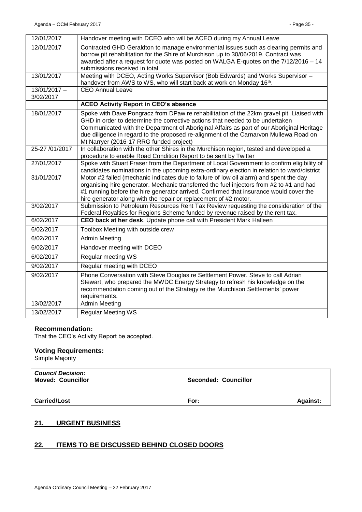| 12/01/2017                  | Handover meeting with DCEO who will be ACEO during my Annual Leave                                                                                                                                                                                                                                                                               |
|-----------------------------|--------------------------------------------------------------------------------------------------------------------------------------------------------------------------------------------------------------------------------------------------------------------------------------------------------------------------------------------------|
| 12/01/2017                  | Contracted GHD Geraldton to manage environmental issues such as clearing permits and<br>borrow pit rehabilitation for the Shire of Murchison up to 30/06/2019. Contract was<br>awarded after a request for quote was posted on WALGA E-quotes on the 7/12/2016 - 14<br>submissions received in total.                                            |
| 13/01/2017                  | Meeting with DCEO, Acting Works Supervisor (Bob Edwards) and Works Supervisor -<br>handover from AWS to WS, who will start back at work on Monday 16th.                                                                                                                                                                                          |
| $13/01/2017 -$<br>3/02/2017 | <b>CEO Annual Leave</b>                                                                                                                                                                                                                                                                                                                          |
|                             | <b>ACEO Activity Report in CEO's absence</b>                                                                                                                                                                                                                                                                                                     |
| 18/01/2017                  | Spoke with Dave Pongracz from DPaw re rehabilitation of the 22km gravel pit. Liaised with<br>GHD in order to determine the corrective actions that needed to be undertaken                                                                                                                                                                       |
|                             | Communicated with the Department of Aboriginal Affairs as part of our Aboriginal Heritage<br>due diligence in regard to the proposed re-alignment of the Carnarvon Mullewa Road on<br>Mt Narryer (2016-17 RRG funded project)                                                                                                                    |
| 25-27 /01/2017              | In collaboration with the other Shires in the Murchison region, tested and developed a<br>procedure to enable Road Condition Report to be sent by Twitter                                                                                                                                                                                        |
| 27/01/2017                  | Spoke with Stuart Fraser from the Department of Local Government to confirm eligibility of<br>candidates nominations in the upcoming extra-ordinary election in relation to ward/district                                                                                                                                                        |
| 31/01/2017                  | Motor #2 failed (mechanic indicates due to failure of low oil alarm) and spent the day<br>organising hire generator. Mechanic transferred the fuel injectors from #2 to #1 and had<br>#1 running before the hire generator arrived. Confirmed that insurance would cover the<br>hire generator along with the repair or replacement of #2 motor. |
| 3/02/2017                   | Submission to Petroleum Resources Rent Tax Review requesting the consideration of the<br>Federal Royalties for Regions Scheme funded by revenue raised by the rent tax.                                                                                                                                                                          |
| 6/02/2017                   | CEO back at her desk. Update phone call with President Mark Halleen                                                                                                                                                                                                                                                                              |
| 6/02/2017                   | Toolbox Meeting with outside crew                                                                                                                                                                                                                                                                                                                |
| 6/02/2017                   | <b>Admin Meeting</b>                                                                                                                                                                                                                                                                                                                             |
| 6/02/2017                   | Handover meeting with DCEO                                                                                                                                                                                                                                                                                                                       |
| 6/02/2017                   | <b>Regular meeting WS</b>                                                                                                                                                                                                                                                                                                                        |
| 9/02/2017                   | Regular meeting with DCEO                                                                                                                                                                                                                                                                                                                        |
| 9/02/2017                   | Phone Conversation with Steve Douglas re Settlement Power. Steve to call Adrian<br>Stewart, who prepared the MWDC Energy Strategy to refresh his knowledge on the<br>recommendation coming out of the Strategy re the Murchison Settlements' power<br>requirements.                                                                              |
| 13/02/2017                  | <b>Admin Meeting</b>                                                                                                                                                                                                                                                                                                                             |
| 13/02/2017                  | <b>Regular Meeting WS</b>                                                                                                                                                                                                                                                                                                                        |

#### **Recommendation:**

That the CEO's Activity Report be accepted.

# **Voting Requirements:**

Simple Majority

| <b>Council Decision:</b><br><b>Moved: Councillor</b> | Seconded: Councillor |                 |
|------------------------------------------------------|----------------------|-----------------|
| <b>Carried/Lost</b>                                  | For:                 | <b>Against:</b> |

# <span id="page-34-0"></span>**21. URGENT BUSINESS**

# <span id="page-34-1"></span>**22. ITEMS TO BE DISCUSSED BEHIND CLOSED DOORS**